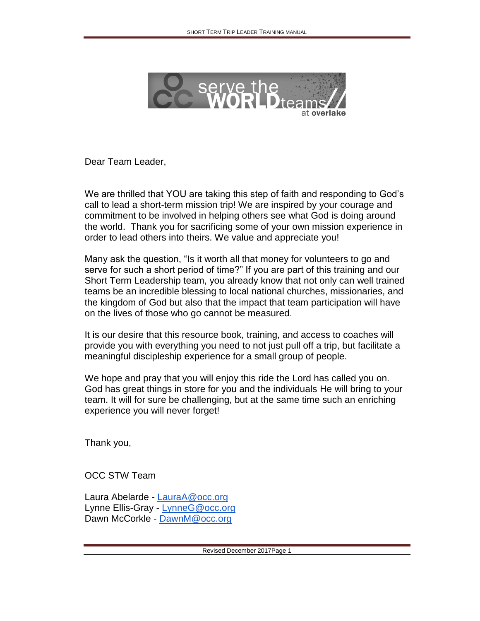

Dear Team Leader,

We are thrilled that YOU are taking this step of faith and responding to God's call to lead a short-term mission trip! We are inspired by your courage and commitment to be involved in helping others see what God is doing around the world. Thank you for sacrificing some of your own mission experience in order to lead others into theirs. We value and appreciate you!

Many ask the question, "Is it worth all that money for volunteers to go and serve for such a short period of time?" If you are part of this training and our Short Term Leadership team, you already know that not only can well trained teams be an incredible blessing to local national churches, missionaries, and the kingdom of God but also that the impact that team participation will have on the lives of those who go cannot be measured.

It is our desire that this resource book, training, and access to coaches will provide you with everything you need to not just pull off a trip, but facilitate a meaningful discipleship experience for a small group of people.

We hope and pray that you will enjoy this ride the Lord has called you on. God has great things in store for you and the individuals He will bring to your team. It will for sure be challenging, but at the same time such an enriching experience you will never forget!

Thank you,

OCC STW Team

Laura Abelarde - [LauraA@occ.org](mailto:LauraA@occ.org) Lynne Ellis-Gray - [LynneG@occ.org](mailto:LynneG@occ.org) Dawn McCorkle - [DawnM@occ.org](mailto:DawnM@occ.org)

Revised December 2017Page 1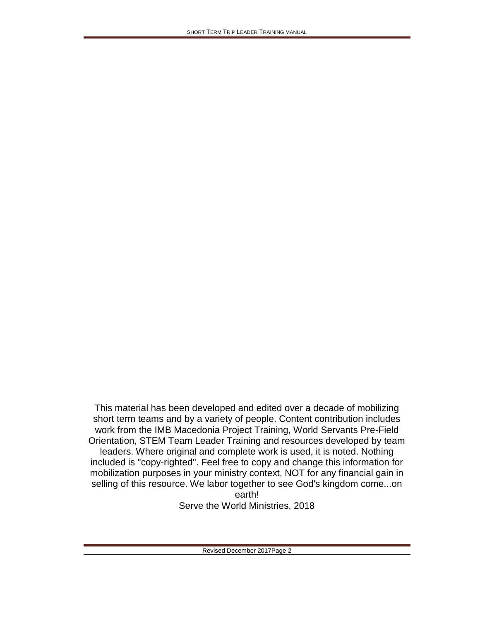This material has been developed and edited over a decade of mobilizing short term teams and by a variety of people. Content contribution includes work from the IMB Macedonia Project Training, World Servants Pre-Field Orientation, STEM Team Leader Training and resources developed by team leaders. Where original and complete work is used, it is noted. Nothing included is "copy-righted". Feel free to copy and change this information for mobilization purposes in your ministry context, NOT for any financial gain in selling of this resource. We labor together to see God's kingdom come...on earth! Serve the World Ministries, 2018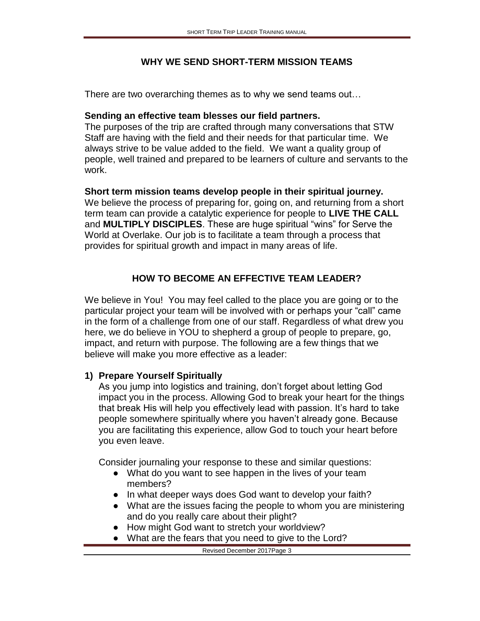#### **WHY WE SEND SHORT-TERM MISSION TEAMS**

There are two overarching themes as to why we send teams out…

#### **Sending an effective team blesses our field partners.**

The purposes of the trip are crafted through many conversations that STW Staff are having with the field and their needs for that particular time. We always strive to be value added to the field. We want a quality group of people, well trained and prepared to be learners of culture and servants to the work.

#### **Short term mission teams develop people in their spiritual journey.**

We believe the process of preparing for, going on, and returning from a short term team can provide a catalytic experience for people to **LIVE THE CALL** and **MULTIPLY DISCIPLES**. These are huge spiritual "wins" for Serve the World at Overlake. Our job is to facilitate a team through a process that provides for spiritual growth and impact in many areas of life.

### **HOW TO BECOME AN EFFECTIVE TEAM LEADER?**

We believe in You! You may feel called to the place you are going or to the particular project your team will be involved with or perhaps your "call" came in the form of a challenge from one of our staff. Regardless of what drew you here, we do believe in YOU to shepherd a group of people to prepare, go, impact, and return with purpose. The following are a few things that we believe will make you more effective as a leader:

#### **1) Prepare Yourself Spiritually**

As you jump into logistics and training, don't forget about letting God impact you in the process. Allowing God to break your heart for the things that break His will help you effectively lead with passion. It's hard to take people somewhere spiritually where you haven't already gone. Because you are facilitating this experience, allow God to touch your heart before you even leave.

Consider journaling your response to these and similar questions:

- What do you want to see happen in the lives of your team members?
- In what deeper ways does God want to develop your faith?
- What are the issues facing the people to whom you are ministering and do you really care about their plight?
- How might God want to stretch your worldview?
- What are the fears that you need to give to the Lord?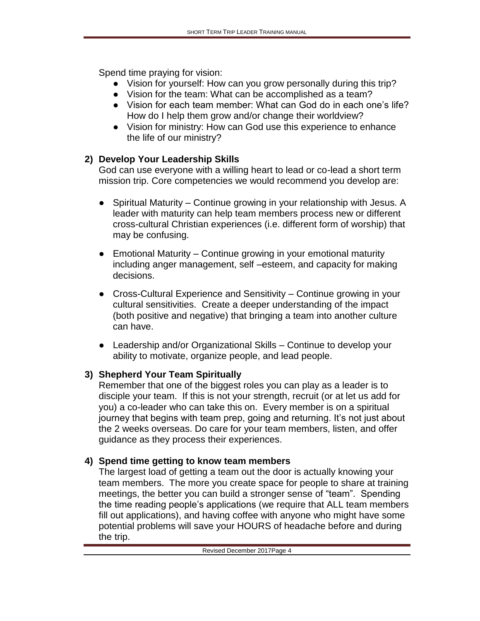Spend time praying for vision:

- Vision for yourself: How can you grow personally during this trip?
- Vision for the team: What can be accomplished as a team?
- Vision for each team member: What can God do in each one's life? How do I help them grow and/or change their worldview?
- Vision for ministry: How can God use this experience to enhance the life of our ministry?

# **2) Develop Your Leadership Skills**

God can use everyone with a willing heart to lead or co-lead a short term mission trip. Core competencies we would recommend you develop are:

- Spiritual Maturity Continue growing in your relationship with Jesus. A leader with maturity can help team members process new or different cross-cultural Christian experiences (i.e. different form of worship) that may be confusing.
- Emotional Maturity Continue growing in your emotional maturity including anger management, self –esteem, and capacity for making decisions.
- Cross-Cultural Experience and Sensitivity Continue growing in your cultural sensitivities. Create a deeper understanding of the impact (both positive and negative) that bringing a team into another culture can have.
- Leadership and/or Organizational Skills Continue to develop your ability to motivate, organize people, and lead people.

# **3) Shepherd Your Team Spiritually**

Remember that one of the biggest roles you can play as a leader is to disciple your team. If this is not your strength, recruit (or at let us add for you) a co-leader who can take this on. Every member is on a spiritual journey that begins with team prep, going and returning. It's not just about the 2 weeks overseas. Do care for your team members, listen, and offer guidance as they process their experiences.

# **4) Spend time getting to know team members**

The largest load of getting a team out the door is actually knowing your team members. The more you create space for people to share at training meetings, the better you can build a stronger sense of "team". Spending the time reading people's applications (we require that ALL team members fill out applications), and having coffee with anyone who might have some potential problems will save your HOURS of headache before and during the trip.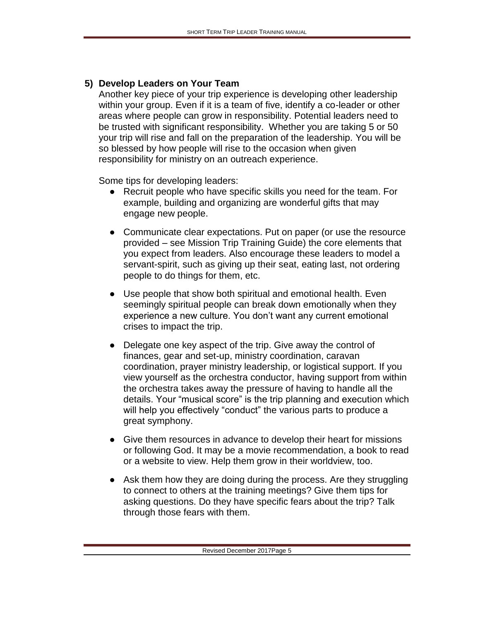#### **5) Develop Leaders on Your Team**

Another key piece of your trip experience is developing other leadership within your group. Even if it is a team of five, identify a co-leader or other areas where people can grow in responsibility. Potential leaders need to be trusted with significant responsibility. Whether you are taking 5 or 50 your trip will rise and fall on the preparation of the leadership. You will be so blessed by how people will rise to the occasion when given responsibility for ministry on an outreach experience.

Some tips for developing leaders:

- Recruit people who have specific skills you need for the team. For example, building and organizing are wonderful gifts that may engage new people.
- Communicate clear expectations. Put on paper (or use the resource provided – see Mission Trip Training Guide) the core elements that you expect from leaders. Also encourage these leaders to model a servant-spirit, such as giving up their seat, eating last, not ordering people to do things for them, etc.
- Use people that show both spiritual and emotional health. Even seemingly spiritual people can break down emotionally when they experience a new culture. You don't want any current emotional crises to impact the trip.
- Delegate one key aspect of the trip. Give away the control of finances, gear and set-up, ministry coordination, caravan coordination, prayer ministry leadership, or logistical support. If you view yourself as the orchestra conductor, having support from within the orchestra takes away the pressure of having to handle all the details. Your "musical score" is the trip planning and execution which will help you effectively "conduct" the various parts to produce a great symphony.
- Give them resources in advance to develop their heart for missions or following God. It may be a movie recommendation, a book to read or a website to view. Help them grow in their worldview, too.
- Ask them how they are doing during the process. Are they struggling to connect to others at the training meetings? Give them tips for asking questions. Do they have specific fears about the trip? Talk through those fears with them.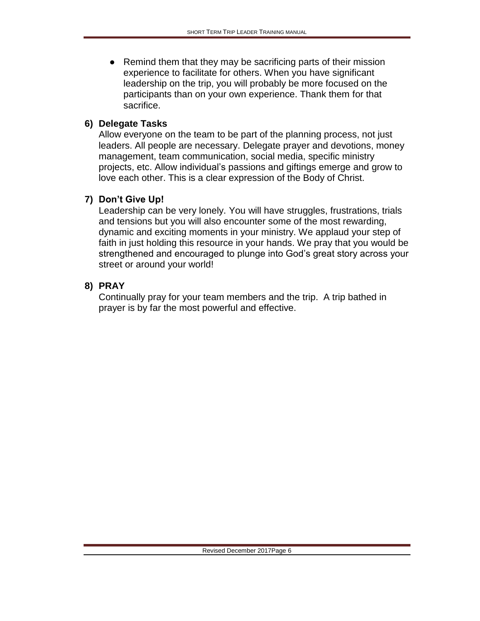● Remind them that they may be sacrificing parts of their mission experience to facilitate for others. When you have significant leadership on the trip, you will probably be more focused on the participants than on your own experience. Thank them for that sacrifice.

#### **6) Delegate Tasks**

Allow everyone on the team to be part of the planning process, not just leaders. All people are necessary. Delegate prayer and devotions, money management, team communication, social media, specific ministry projects, etc. Allow individual's passions and giftings emerge and grow to love each other. This is a clear expression of the Body of Christ.

#### **7) Don't Give Up!**

Leadership can be very lonely. You will have struggles, frustrations, trials and tensions but you will also encounter some of the most rewarding, dynamic and exciting moments in your ministry. We applaud your step of faith in just holding this resource in your hands. We pray that you would be strengthened and encouraged to plunge into God's great story across your street or around your world!

#### **8) PRAY**

Continually pray for your team members and the trip. A trip bathed in prayer is by far the most powerful and effective.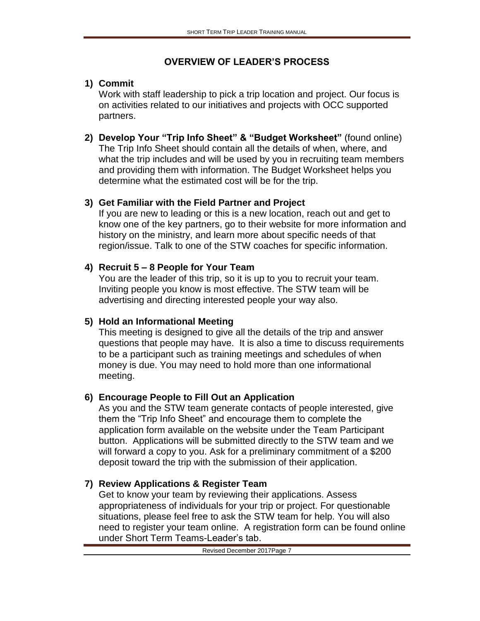### **OVERVIEW OF LEADER'S PROCESS**

## **1) Commit**

Work with staff leadership to pick a trip location and project. Our focus is on activities related to our initiatives and projects with OCC supported partners.

**2) Develop Your "Trip Info Sheet" & "Budget Worksheet"** (found online) The Trip Info Sheet should contain all the details of when, where, and what the trip includes and will be used by you in recruiting team members and providing them with information. The Budget Worksheet helps you determine what the estimated cost will be for the trip.

## **3) Get Familiar with the Field Partner and Project**

If you are new to leading or this is a new location, reach out and get to know one of the key partners, go to their website for more information and history on the ministry, and learn more about specific needs of that region/issue. Talk to one of the STW coaches for specific information.

## **4) Recruit 5 – 8 People for Your Team**

You are the leader of this trip, so it is up to you to recruit your team. Inviting people you know is most effective. The STW team will be advertising and directing interested people your way also.

## **5) Hold an Informational Meeting**

This meeting is designed to give all the details of the trip and answer questions that people may have. It is also a time to discuss requirements to be a participant such as training meetings and schedules of when money is due. You may need to hold more than one informational meeting.

## **6) Encourage People to Fill Out an Application**

As you and the STW team generate contacts of people interested, give them the "Trip Info Sheet" and encourage them to complete the application form available on the website under the Team Participant button. Applications will be submitted directly to the STW team and we will forward a copy to you. Ask for a preliminary commitment of a \$200 deposit toward the trip with the submission of their application.

# **7) Review Applications & Register Team**

Get to know your team by reviewing their applications. Assess appropriateness of individuals for your trip or project. For questionable situations, please feel free to ask the STW team for help. You will also need to register your team online. A registration form can be found online under Short Term Teams-Leader's tab.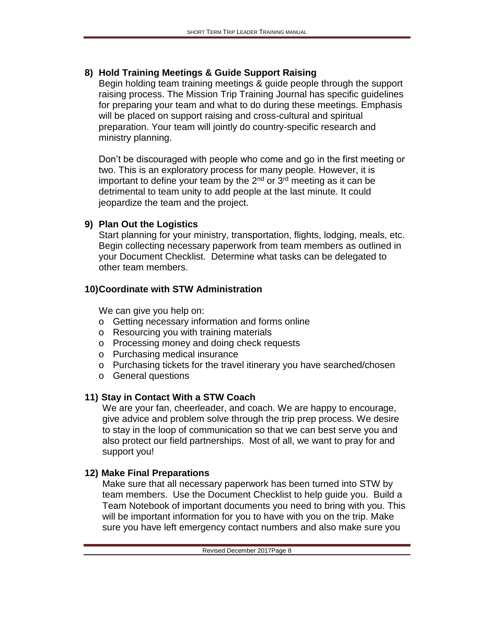## **8) Hold Training Meetings & Guide Support Raising**

Begin holding team training meetings & guide people through the support raising process. The Mission Trip Training Journal has specific guidelines for preparing your team and what to do during these meetings. Emphasis will be placed on support raising and cross-cultural and spiritual preparation. Your team will jointly do country-specific research and ministry planning.

Don't be discouraged with people who come and go in the first meeting or two. This is an exploratory process for many people. However, it is important to define your team by the  $2<sup>nd</sup>$  or  $3<sup>rd</sup>$  meeting as it can be detrimental to team unity to add people at the last minute. It could jeopardize the team and the project.

### **9) Plan Out the Logistics**

Start planning for your ministry, transportation, flights, lodging, meals, etc. Begin collecting necessary paperwork from team members as outlined in your Document Checklist. Determine what tasks can be delegated to other team members.

## **10)Coordinate with STW Administration**

We can give you help on:

- o Getting necessary information and forms online
- o Resourcing you with training materials
- o Processing money and doing check requests
- o Purchasing medical insurance
- o Purchasing tickets for the travel itinerary you have searched/chosen
- o General questions

# **11) Stay in Contact With a STW Coach**

We are your fan, cheerleader, and coach. We are happy to encourage, give advice and problem solve through the trip prep process. We desire to stay in the loop of communication so that we can best serve you and also protect our field partnerships. Most of all, we want to pray for and support you!

## **12) Make Final Preparations**

Make sure that all necessary paperwork has been turned into STW by team members. Use the Document Checklist to help guide you. Build a Team Notebook of important documents you need to bring with you. This will be important information for you to have with you on the trip. Make sure you have left emergency contact numbers and also make sure you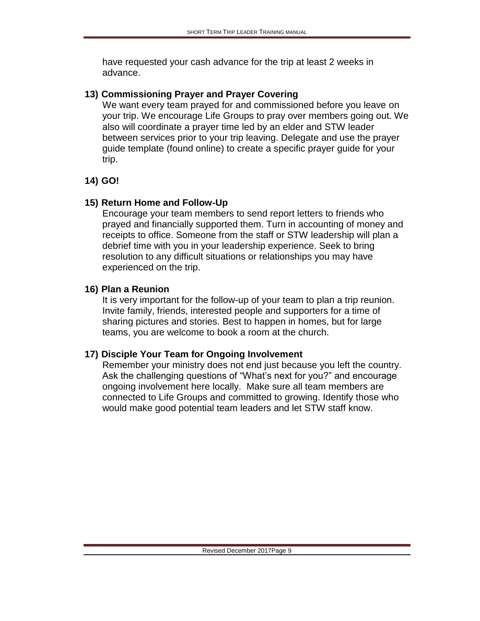have requested your cash advance for the trip at least 2 weeks in advance.

#### **13) Commissioning Prayer and Prayer Covering**

We want every team prayed for and commissioned before you leave on your trip. We encourage Life Groups to pray over members going out. We also will coordinate a prayer time led by an elder and STW leader between services prior to your trip leaving. Delegate and use the prayer guide template (found online) to create a specific prayer guide for your trip.

### **14) GO!**

### **15) Return Home and Follow-Up**

Encourage your team members to send report letters to friends who prayed and financially supported them. Turn in accounting of money and receipts to office. Someone from the staff or STW leadership will plan a debrief time with you in your leadership experience. Seek to bring resolution to any difficult situations or relationships you may have experienced on the trip.

### **16) Plan a Reunion**

It is very important for the follow-up of your team to plan a trip reunion. Invite family, friends, interested people and supporters for a time of sharing pictures and stories. Best to happen in homes, but for large teams, you are welcome to book a room at the church.

## **17) Disciple Your Team for Ongoing Involvement**

Remember your ministry does not end just because you left the country. Ask the challenging questions of "What's next for you?" and encourage ongoing involvement here locally. Make sure all team members are connected to Life Groups and committed to growing. Identify those who would make good potential team leaders and let STW staff know.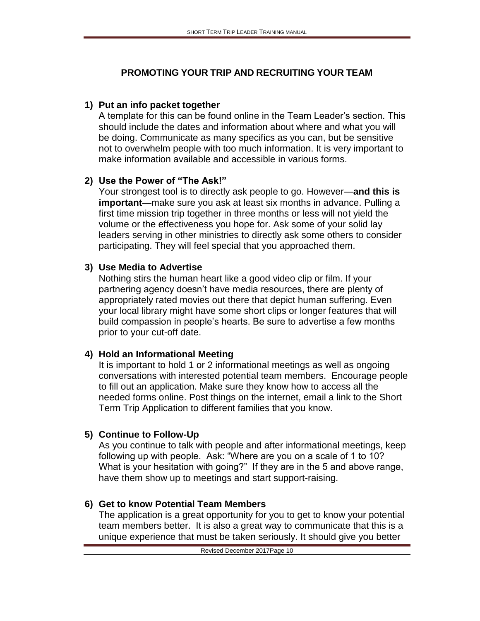## **PROMOTING YOUR TRIP AND RECRUITING YOUR TEAM**

### **1) Put an info packet together**

A template for this can be found online in the Team Leader's section. This should include the dates and information about where and what you will be doing. Communicate as many specifics as you can, but be sensitive not to overwhelm people with too much information. It is very important to make information available and accessible in various forms.

### **2) Use the Power of "The Ask!"**

Your strongest tool is to directly ask people to go. However—**and this is important**—make sure you ask at least six months in advance. Pulling a first time mission trip together in three months or less will not yield the volume or the effectiveness you hope for. Ask some of your solid lay leaders serving in other ministries to directly ask some others to consider participating. They will feel special that you approached them.

### **3) Use Media to Advertise**

Nothing stirs the human heart like a good video clip or film. If your partnering agency doesn't have media resources, there are plenty of appropriately rated movies out there that depict human suffering. Even your local library might have some short clips or longer features that will build compassion in people's hearts. Be sure to advertise a few months prior to your cut-off date.

## **4) Hold an Informational Meeting**

It is important to hold 1 or 2 informational meetings as well as ongoing conversations with interested potential team members. Encourage people to fill out an application. Make sure they know how to access all the needed forms online. Post things on the internet, email a link to the Short Term Trip Application to different families that you know.

## **5) Continue to Follow-Up**

As you continue to talk with people and after informational meetings, keep following up with people. Ask: "Where are you on a scale of 1 to 10? What is your hesitation with going?" If they are in the 5 and above range, have them show up to meetings and start support-raising.

## **6) Get to know Potential Team Members**

The application is a great opportunity for you to get to know your potential team members better. It is also a great way to communicate that this is a unique experience that must be taken seriously. It should give you better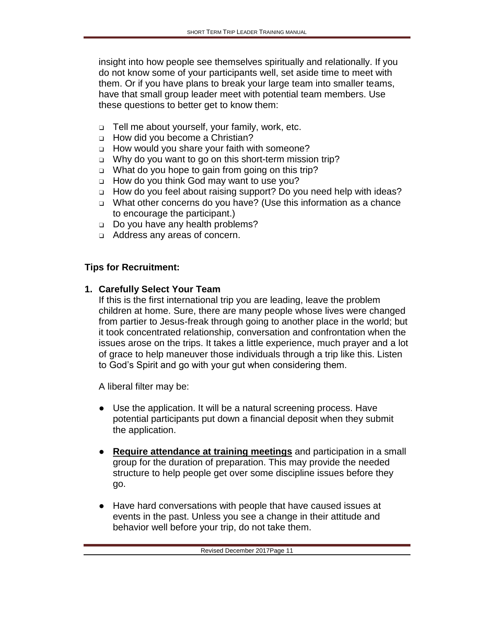insight into how people see themselves spiritually and relationally. If you do not know some of your participants well, set aside time to meet with them. Or if you have plans to break your large team into smaller teams, have that small group leader meet with potential team members. Use these questions to better get to know them:

- ❑ Tell me about yourself, your family, work, etc.
- ❑ How did you become a Christian?
- ❑ How would you share your faith with someone?
- ❑ Why do you want to go on this short-term mission trip?
- ❑ What do you hope to gain from going on this trip?
- ❑ How do you think God may want to use you?
- ❑ How do you feel about raising support? Do you need help with ideas?
- ❑ What other concerns do you have? (Use this information as a chance to encourage the participant.)
- ❑ Do you have any health problems?
- ❑ Address any areas of concern.

#### **Tips for Recruitment:**

#### **1. Carefully Select Your Team**

If this is the first international trip you are leading, leave the problem children at home. Sure, there are many people whose lives were changed from partier to Jesus-freak through going to another place in the world; but it took concentrated relationship, conversation and confrontation when the issues arose on the trips. It takes a little experience, much prayer and a lot of grace to help maneuver those individuals through a trip like this. Listen to God's Spirit and go with your gut when considering them.

A liberal filter may be:

- Use the application. It will be a natural screening process. Have potential participants put down a financial deposit when they submit the application.
- **Require attendance at training meetings** and participation in a small group for the duration of preparation. This may provide the needed structure to help people get over some discipline issues before they go.
- Have hard conversations with people that have caused issues at events in the past. Unless you see a change in their attitude and behavior well before your trip, do not take them.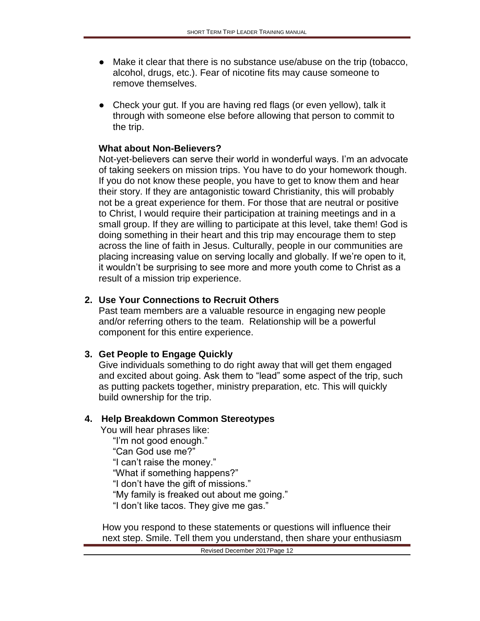- Make it clear that there is no substance use/abuse on the trip (tobacco, alcohol, drugs, etc.). Fear of nicotine fits may cause someone to remove themselves.
- Check your gut. If you are having red flags (or even yellow), talk it through with someone else before allowing that person to commit to the trip.

#### **What about Non-Believers?**

Not-yet-believers can serve their world in wonderful ways. I'm an advocate of taking seekers on mission trips. You have to do your homework though. If you do not know these people, you have to get to know them and hear their story. If they are antagonistic toward Christianity, this will probably not be a great experience for them. For those that are neutral or positive to Christ, I would require their participation at training meetings and in a small group. If they are willing to participate at this level, take them! God is doing something in their heart and this trip may encourage them to step across the line of faith in Jesus. Culturally, people in our communities are placing increasing value on serving locally and globally. If we're open to it, it wouldn't be surprising to see more and more youth come to Christ as a result of a mission trip experience.

#### **2. Use Your Connections to Recruit Others**

Past team members are a valuable resource in engaging new people and/or referring others to the team. Relationship will be a powerful component for this entire experience.

#### **3. Get People to Engage Quickly**

Give individuals something to do right away that will get them engaged and excited about going. Ask them to "lead" some aspect of the trip, such as putting packets together, ministry preparation, etc. This will quickly build ownership for the trip.

#### **4. Help Breakdown Common Stereotypes**

You will hear phrases like:

"I'm not good enough."

"Can God use me?"

"I can't raise the money."

"What if something happens?"

"I don't have the gift of missions."

"My family is freaked out about me going."

"I don't like tacos. They give me gas."

How you respond to these statements or questions will influence their next step. Smile. Tell them you understand, then share your enthusiasm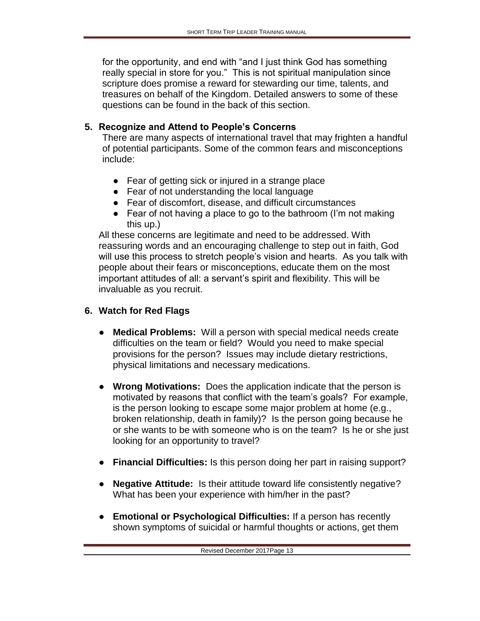for the opportunity, and end with "and I just think God has something really special in store for you." This is not spiritual manipulation since scripture does promise a reward for stewarding our time, talents, and treasures on behalf of the Kingdom. Detailed answers to some of these questions can be found in the back of this section.

## **5. Recognize and Attend to People's Concerns**

There are many aspects of international travel that may frighten a handful of potential participants. Some of the common fears and misconceptions include:

- Fear of getting sick or injured in a strange place
- Fear of not understanding the local language
- Fear of discomfort, disease, and difficult circumstances
- Fear of not having a place to go to the bathroom (I'm not making this up.)

All these concerns are legitimate and need to be addressed. With reassuring words and an encouraging challenge to step out in faith, God will use this process to stretch people's vision and hearts. As you talk with people about their fears or misconceptions, educate them on the most important attitudes of all: a servant's spirit and flexibility. This will be invaluable as you recruit.

## **6. Watch for Red Flags**

- **Medical Problems:** Will a person with special medical needs create difficulties on the team or field? Would you need to make special provisions for the person? Issues may include dietary restrictions, physical limitations and necessary medications.
- **Wrong Motivations:** Does the application indicate that the person is motivated by reasons that conflict with the team's goals? For example, is the person looking to escape some major problem at home (e.g., broken relationship, death in family)? Is the person going because he or she wants to be with someone who is on the team? Is he or she just looking for an opportunity to travel?
- **Financial Difficulties:** Is this person doing her part in raising support?
- **Negative Attitude:** Is their attitude toward life consistently negative? What has been your experience with him/her in the past?
- **Emotional or Psychological Difficulties:** If a person has recently shown symptoms of suicidal or harmful thoughts or actions, get them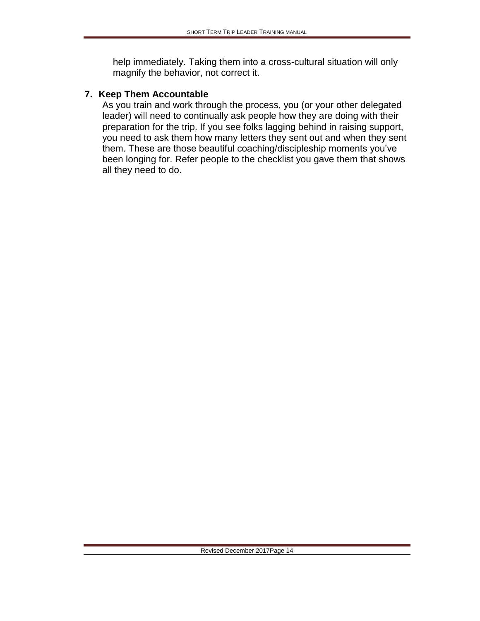help immediately. Taking them into a cross-cultural situation will only magnify the behavior, not correct it.

#### **7. Keep Them Accountable**

As you train and work through the process, you (or your other delegated leader) will need to continually ask people how they are doing with their preparation for the trip. If you see folks lagging behind in raising support, you need to ask them how many letters they sent out and when they sent them. These are those beautiful coaching/discipleship moments you've been longing for. Refer people to the checklist you gave them that shows all they need to do.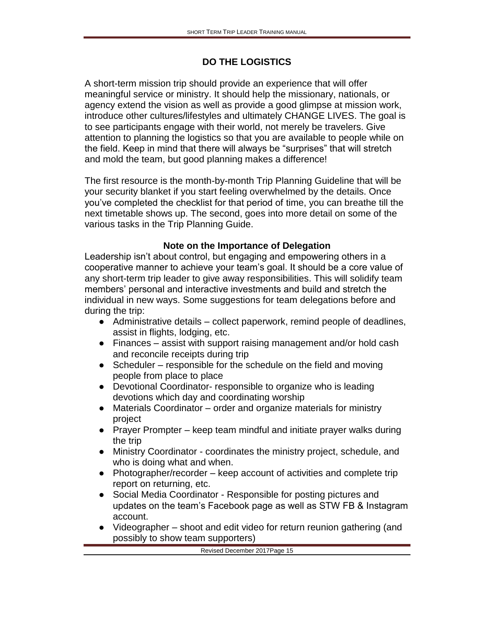### **DO THE LOGISTICS**

A short-term mission trip should provide an experience that will offer meaningful service or ministry. It should help the missionary, nationals, or agency extend the vision as well as provide a good glimpse at mission work, introduce other cultures/lifestyles and ultimately CHANGE LIVES. The goal is to see participants engage with their world, not merely be travelers. Give attention to planning the logistics so that you are available to people while on the field. Keep in mind that there will always be "surprises" that will stretch and mold the team, but good planning makes a difference!

The first resource is the month-by-month Trip Planning Guideline that will be your security blanket if you start feeling overwhelmed by the details. Once you've completed the checklist for that period of time, you can breathe till the next timetable shows up. The second, goes into more detail on some of the various tasks in the Trip Planning Guide.

#### **Note on the Importance of Delegation**

Leadership isn't about control, but engaging and empowering others in a cooperative manner to achieve your team's goal. It should be a core value of any short-term trip leader to give away responsibilities. This will solidify team members' personal and interactive investments and build and stretch the individual in new ways. Some suggestions for team delegations before and during the trip:

- Administrative details collect paperwork, remind people of deadlines, assist in flights, lodging, etc.
- Finances assist with support raising management and/or hold cash and reconcile receipts during trip
- $\bullet$  Scheduler responsible for the schedule on the field and moving people from place to place
- Devotional Coordinator- responsible to organize who is leading devotions which day and coordinating worship
- Materials Coordinator order and organize materials for ministry project
- Prayer Prompter keep team mindful and initiate prayer walks during the trip
- Ministry Coordinator coordinates the ministry project, schedule, and who is doing what and when.
- $\bullet$  Photographer/recorder keep account of activities and complete trip report on returning, etc.
- Social Media Coordinator Responsible for posting pictures and updates on the team's Facebook page as well as STW FB & Instagram account.
- Videographer shoot and edit video for return reunion gathering (and possibly to show team supporters)

Revised December 2017Page 15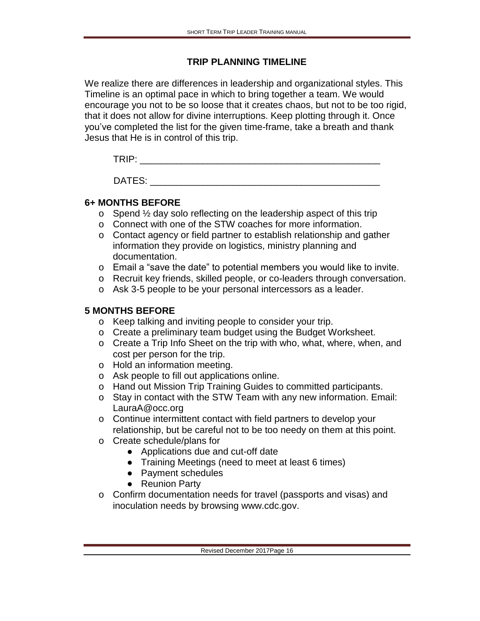#### **TRIP PLANNING TIMELINE**

We realize there are differences in leadership and organizational styles. This Timeline is an optimal pace in which to bring together a team. We would encourage you not to be so loose that it creates chaos, but not to be too rigid, that it does not allow for divine interruptions. Keep plotting through it. Once you've completed the list for the given time-frame, take a breath and thank Jesus that He is in control of this trip.

TRIP: \_\_\_\_\_\_\_\_\_\_\_\_\_\_\_\_\_\_\_\_\_\_\_\_\_\_\_\_\_\_\_\_\_\_\_\_\_\_\_\_\_\_\_\_\_\_

DATES: \_\_\_\_\_\_\_\_\_\_\_\_\_\_\_\_\_\_\_\_\_\_\_\_\_\_\_\_\_\_\_\_\_\_\_\_\_\_\_\_\_\_\_\_

### **6+ MONTHS BEFORE**

- o Spend ½ day solo reflecting on the leadership aspect of this trip
- o Connect with one of the STW coaches for more information.
- o Contact agency or field partner to establish relationship and gather information they provide on logistics, ministry planning and documentation.
- o Email a "save the date" to potential members you would like to invite.
- o Recruit key friends, skilled people, or co-leaders through conversation.
- o Ask 3-5 people to be your personal intercessors as a leader.

#### **5 MONTHS BEFORE**

- o Keep talking and inviting people to consider your trip.
- o Create a preliminary team budget using the Budget Worksheet.
- o Create a Trip Info Sheet on the trip with who, what, where, when, and cost per person for the trip.
- o Hold an information meeting.
- o Ask people to fill out applications online.
- o Hand out Mission Trip Training Guides to committed participants.
- o Stay in contact with the STW Team with any new information. Email: LauraA@occ.org
- o Continue intermittent contact with field partners to develop your relationship, but be careful not to be too needy on them at this point.
- o Create schedule/plans for
	- Applications due and cut-off date
	- Training Meetings (need to meet at least 6 times)
	- Payment schedules
	- Reunion Party
- o Confirm documentation needs for travel (passports and visas) and inoculation needs by browsing www.cdc.gov.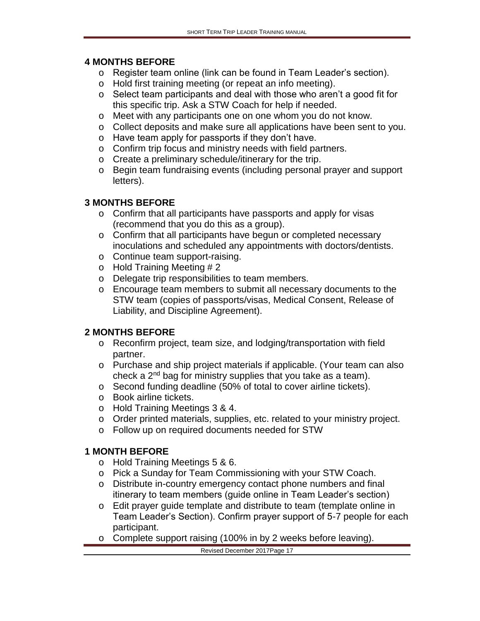#### **4 MONTHS BEFORE**

- o Register team online (link can be found in Team Leader's section).
- o Hold first training meeting (or repeat an info meeting).
- o Select team participants and deal with those who aren't a good fit for this specific trip. Ask a STW Coach for help if needed.
- o Meet with any participants one on one whom you do not know.
- o Collect deposits and make sure all applications have been sent to you.
- o Have team apply for passports if they don't have.
- o Confirm trip focus and ministry needs with field partners.
- o Create a preliminary schedule/itinerary for the trip.
- o Begin team fundraising events (including personal prayer and support letters).

#### **3 MONTHS BEFORE**

- o Confirm that all participants have passports and apply for visas (recommend that you do this as a group).
- o Confirm that all participants have begun or completed necessary inoculations and scheduled any appointments with doctors/dentists.
- o Continue team support-raising.
- o Hold Training Meeting # 2
- o Delegate trip responsibilities to team members.
- o Encourage team members to submit all necessary documents to the STW team (copies of passports/visas, Medical Consent, Release of Liability, and Discipline Agreement).

#### **2 MONTHS BEFORE**

- o Reconfirm project, team size, and lodging/transportation with field partner.
- o Purchase and ship project materials if applicable. (Your team can also check a  $2^{nd}$  bag for ministry supplies that you take as a team).
- o Second funding deadline (50% of total to cover airline tickets).
- o Book airline tickets.
- o Hold Training Meetings 3 & 4.
- o Order printed materials, supplies, etc. related to your ministry project.
- o Follow up on required documents needed for STW

#### **1 MONTH BEFORE**

- o Hold Training Meetings 5 & 6.
- o Pick a Sunday for Team Commissioning with your STW Coach.
- o Distribute in-country emergency contact phone numbers and final itinerary to team members (guide online in Team Leader's section)
- o Edit prayer guide template and distribute to team (template online in Team Leader's Section). Confirm prayer support of 5-7 people for each participant.
- o Complete support raising (100% in by 2 weeks before leaving).

#### Revised December 2017Page 17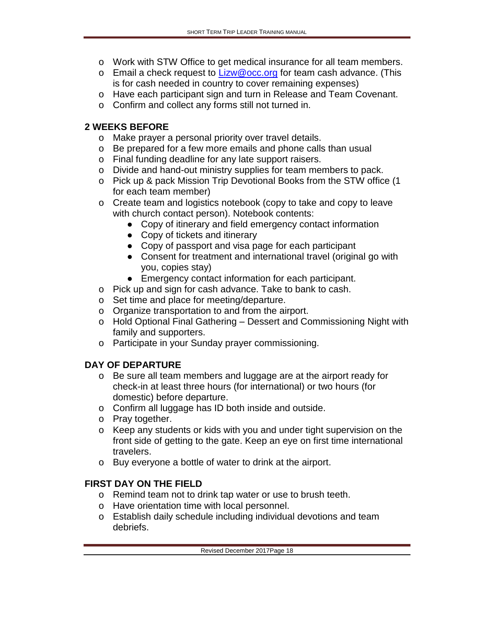- o Work with STW Office to get medical insurance for all team members.
- o Email a check request to  $Lizw@occ.org$  for team cash advance. (This is for cash needed in country to cover remaining expenses)
- o Have each participant sign and turn in Release and Team Covenant.
- o Confirm and collect any forms still not turned in.

## **2 WEEKS BEFORE**

- o Make prayer a personal priority over travel details.
- o Be prepared for a few more emails and phone calls than usual
- o Final funding deadline for any late support raisers.
- o Divide and hand-out ministry supplies for team members to pack.
- o Pick up & pack Mission Trip Devotional Books from the STW office (1 for each team member)
- o Create team and logistics notebook (copy to take and copy to leave with church contact person). Notebook contents:
	- Copy of itinerary and field emergency contact information
	- Copy of tickets and itinerary
	- Copy of passport and visa page for each participant
	- Consent for treatment and international travel (original go with you, copies stay)
	- Emergency contact information for each participant.
- o Pick up and sign for cash advance. Take to bank to cash.
- o Set time and place for meeting/departure.
- o Organize transportation to and from the airport.
- o Hold Optional Final Gathering Dessert and Commissioning Night with family and supporters.
- o Participate in your Sunday prayer commissioning.

## **DAY OF DEPARTURE**

- o Be sure all team members and luggage are at the airport ready for check-in at least three hours (for international) or two hours (for domestic) before departure.
- o Confirm all luggage has ID both inside and outside.
- o Pray together.
- o Keep any students or kids with you and under tight supervision on the front side of getting to the gate. Keep an eye on first time international travelers.
- o Buy everyone a bottle of water to drink at the airport.

# **FIRST DAY ON THE FIELD**

- o Remind team not to drink tap water or use to brush teeth.
- o Have orientation time with local personnel.
- o Establish daily schedule including individual devotions and team debriefs.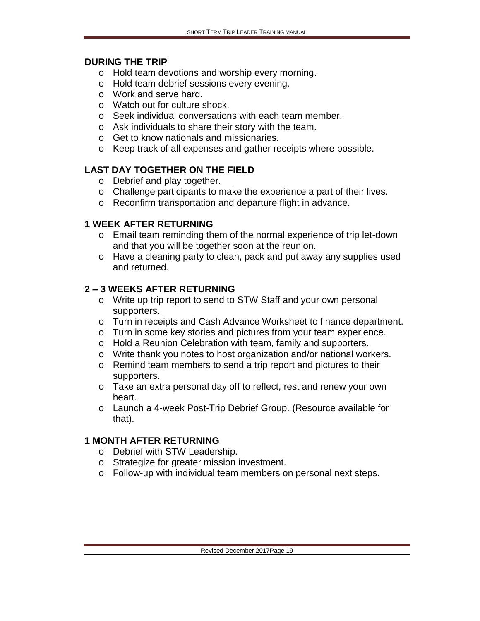#### **DURING THE TRIP**

- o Hold team devotions and worship every morning.
- o Hold team debrief sessions every evening.
- o Work and serve hard.
- o Watch out for culture shock.
- o Seek individual conversations with each team member.
- o Ask individuals to share their story with the team.
- o Get to know nationals and missionaries.
- o Keep track of all expenses and gather receipts where possible.

## **LAST DAY TOGETHER ON THE FIELD**

- o Debrief and play together.
- o Challenge participants to make the experience a part of their lives.
- o Reconfirm transportation and departure flight in advance.

#### **1 WEEK AFTER RETURNING**

- o Email team reminding them of the normal experience of trip let-down and that you will be together soon at the reunion.
- o Have a cleaning party to clean, pack and put away any supplies used and returned.

### **2 – 3 WEEKS AFTER RETURNING**

- o Write up trip report to send to STW Staff and your own personal supporters.
- o Turn in receipts and Cash Advance Worksheet to finance department.
- o Turn in some key stories and pictures from your team experience.
- o Hold a Reunion Celebration with team, family and supporters.
- o Write thank you notes to host organization and/or national workers.
- o Remind team members to send a trip report and pictures to their supporters.
- o Take an extra personal day off to reflect, rest and renew your own heart.
- o Launch a 4-week Post-Trip Debrief Group. (Resource available for that).

#### **1 MONTH AFTER RETURNING**

- o Debrief with STW Leadership.
- o Strategize for greater mission investment.
- o Follow-up with individual team members on personal next steps.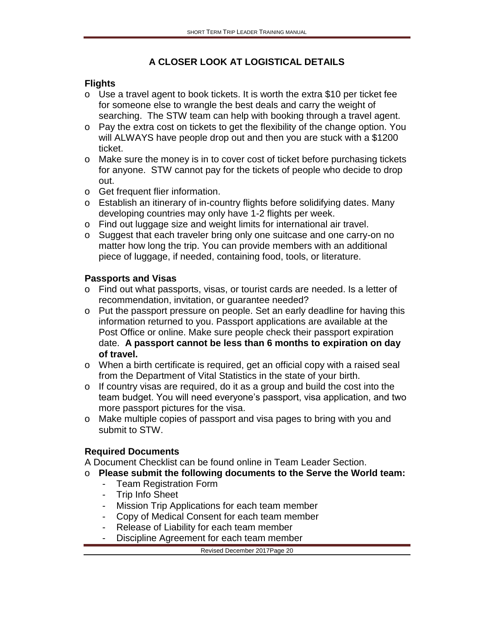## **A CLOSER LOOK AT LOGISTICAL DETAILS**

### **Flights**

- o Use a travel agent to book tickets. It is worth the extra \$10 per ticket fee for someone else to wrangle the best deals and carry the weight of searching. The STW team can help with booking through a travel agent.
- o Pay the extra cost on tickets to get the flexibility of the change option. You will ALWAYS have people drop out and then you are stuck with a \$1200 ticket.
- o Make sure the money is in to cover cost of ticket before purchasing tickets for anyone. STW cannot pay for the tickets of people who decide to drop out.
- o Get frequent flier information.
- o Establish an itinerary of in-country flights before solidifying dates. Many developing countries may only have 1-2 flights per week.
- o Find out luggage size and weight limits for international air travel.
- o Suggest that each traveler bring only one suitcase and one carry-on no matter how long the trip. You can provide members with an additional piece of luggage, if needed, containing food, tools, or literature.

#### **Passports and Visas**

- o Find out what passports, visas, or tourist cards are needed. Is a letter of recommendation, invitation, or guarantee needed?
- o Put the passport pressure on people. Set an early deadline for having this information returned to you. Passport applications are available at the Post Office or online. Make sure people check their passport expiration date. **A passport cannot be less than 6 months to expiration on day of travel.**
- o When a birth certificate is required, get an official copy with a raised seal from the Department of Vital Statistics in the state of your birth.
- o If country visas are required, do it as a group and build the cost into the team budget. You will need everyone's passport, visa application, and two more passport pictures for the visa.
- o Make multiple copies of passport and visa pages to bring with you and submit to STW.

## **Required Documents**

A Document Checklist can be found online in Team Leader Section.

- o **Please submit the following documents to the Serve the World team:**
	- Team Registration Form
	- Trip Info Sheet
	- Mission Trip Applications for each team member
	- Copy of Medical Consent for each team member
	- Release of Liability for each team member
	- Discipline Agreement for each team member

Revised December 2017Page 20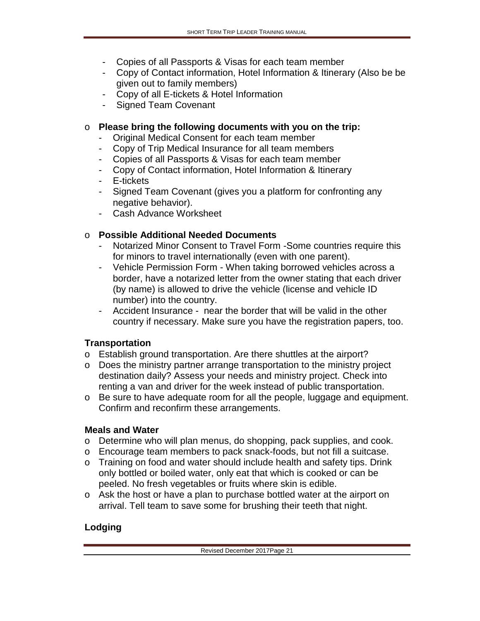- Copies of all Passports & Visas for each team member
- Copy of Contact information, Hotel Information & Itinerary (Also be be given out to family members)
- Copy of all E-tickets & Hotel Information
- Signed Team Covenant

### o **Please bring the following documents with you on the trip:**

- Original Medical Consent for each team member
- Copy of Trip Medical Insurance for all team members
- Copies of all Passports & Visas for each team member
- Copy of Contact information, Hotel Information & Itinerary
- E-tickets
- Signed Team Covenant (gives you a platform for confronting any negative behavior).
- Cash Advance Worksheet

## o **Possible Additional Needed Documents**

- Notarized Minor Consent to Travel Form -Some countries require this for minors to travel internationally (even with one parent).
- Vehicle Permission Form When taking borrowed vehicles across a border, have a notarized letter from the owner stating that each driver (by name) is allowed to drive the vehicle (license and vehicle ID number) into the country.
- Accident Insurance near the border that will be valid in the other country if necessary. Make sure you have the registration papers, too.

## **Transportation**

- o Establish ground transportation. Are there shuttles at the airport?
- o Does the ministry partner arrange transportation to the ministry project destination daily? Assess your needs and ministry project. Check into renting a van and driver for the week instead of public transportation.
- o Be sure to have adequate room for all the people, luggage and equipment. Confirm and reconfirm these arrangements.

#### **Meals and Water**

- o Determine who will plan menus, do shopping, pack supplies, and cook.
- o Encourage team members to pack snack-foods, but not fill a suitcase.
- o Training on food and water should include health and safety tips. Drink only bottled or boiled water, only eat that which is cooked or can be peeled. No fresh vegetables or fruits where skin is edible.
- o Ask the host or have a plan to purchase bottled water at the airport on arrival. Tell team to save some for brushing their teeth that night.

# **Lodging**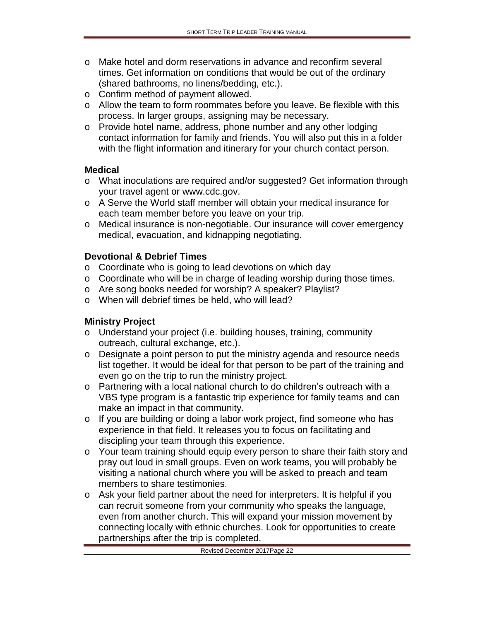- o Make hotel and dorm reservations in advance and reconfirm several times. Get information on conditions that would be out of the ordinary (shared bathrooms, no linens/bedding, etc.).
- o Confirm method of payment allowed.
- o Allow the team to form roommates before you leave. Be flexible with this process. In larger groups, assigning may be necessary.
- o Provide hotel name, address, phone number and any other lodging contact information for family and friends. You will also put this in a folder with the flight information and itinerary for your church contact person.

#### **Medical**

- o What inoculations are required and/or suggested? Get information through your travel agent or www.cdc.gov.
- o A Serve the World staff member will obtain your medical insurance for each team member before you leave on your trip.
- o Medical insurance is non-negotiable. Our insurance will cover emergency medical, evacuation, and kidnapping negotiating.

#### **Devotional & Debrief Times**

- o Coordinate who is going to lead devotions on which day
- o Coordinate who will be in charge of leading worship during those times.
- o Are song books needed for worship? A speaker? Playlist?
- o When will debrief times be held, who will lead?

#### **Ministry Project**

- o Understand your project (i.e. building houses, training, community outreach, cultural exchange, etc.).
- o Designate a point person to put the ministry agenda and resource needs list together. It would be ideal for that person to be part of the training and even go on the trip to run the ministry project.
- o Partnering with a local national church to do children's outreach with a VBS type program is a fantastic trip experience for family teams and can make an impact in that community.
- o If you are building or doing a labor work project, find someone who has experience in that field. It releases you to focus on facilitating and discipling your team through this experience.
- o Your team training should equip every person to share their faith story and pray out loud in small groups. Even on work teams, you will probably be visiting a national church where you will be asked to preach and team members to share testimonies.
- o Ask your field partner about the need for interpreters. It is helpful if you can recruit someone from your community who speaks the language, even from another church. This will expand your mission movement by connecting locally with ethnic churches. Look for opportunities to create partnerships after the trip is completed.

#### Revised December 2017Page 22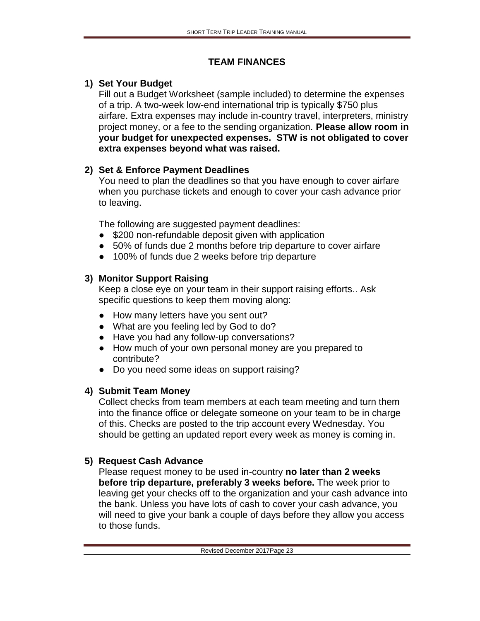### **TEAM FINANCES**

## **1) Set Your Budget**

Fill out a Budget Worksheet (sample included) to determine the expenses of a trip. A two-week low-end international trip is typically \$750 plus airfare. Extra expenses may include in-country travel, interpreters, ministry project money, or a fee to the sending organization. **Please allow room in your budget for unexpected expenses. STW is not obligated to cover extra expenses beyond what was raised.** 

## **2) Set & Enforce Payment Deadlines**

You need to plan the deadlines so that you have enough to cover airfare when you purchase tickets and enough to cover your cash advance prior to leaving.

The following are suggested payment deadlines:

- \$200 non-refundable deposit given with application
- 50% of funds due 2 months before trip departure to cover airfare
- 100% of funds due 2 weeks before trip departure

# **3) Monitor Support Raising**

Keep a close eye on your team in their support raising efforts.. Ask specific questions to keep them moving along:

- How many letters have you sent out?
- What are you feeling led by God to do?
- Have you had any follow-up conversations?
- How much of your own personal money are you prepared to contribute?
- Do you need some ideas on support raising?

# **4) Submit Team Money**

Collect checks from team members at each team meeting and turn them into the finance office or delegate someone on your team to be in charge of this. Checks are posted to the trip account every Wednesday. You should be getting an updated report every week as money is coming in.

# **5) Request Cash Advance**

Please request money to be used in-country **no later than 2 weeks before trip departure, preferably 3 weeks before.** The week prior to leaving get your checks off to the organization and your cash advance into the bank. Unless you have lots of cash to cover your cash advance, you will need to give your bank a couple of days before they allow you access to those funds.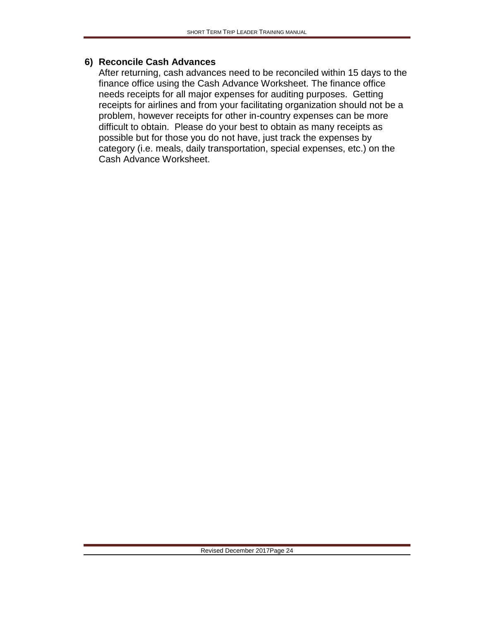#### **6) Reconcile Cash Advances**

After returning, cash advances need to be reconciled within 15 days to the finance office using the Cash Advance Worksheet. The finance office needs receipts for all major expenses for auditing purposes. Getting receipts for airlines and from your facilitating organization should not be a problem, however receipts for other in-country expenses can be more difficult to obtain. Please do your best to obtain as many receipts as possible but for those you do not have, just track the expenses by category (i.e. meals, daily transportation, special expenses, etc.) on the Cash Advance Worksheet.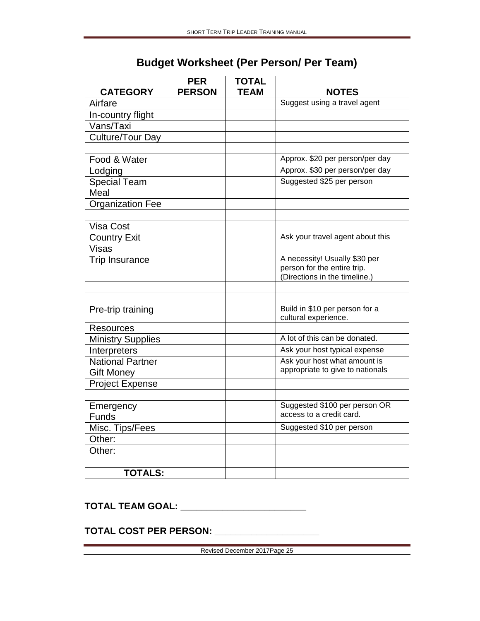| <b>CATEGORY</b>              | <b>PER</b><br><b>PERSON</b> | <b>TOTAL</b><br><b>TEAM</b> | <b>NOTES</b>                                                 |
|------------------------------|-----------------------------|-----------------------------|--------------------------------------------------------------|
| Airfare                      |                             |                             | Suggest using a travel agent                                 |
| In-country flight            |                             |                             |                                                              |
| Vans/Taxi                    |                             |                             |                                                              |
| Culture/Tour Day             |                             |                             |                                                              |
|                              |                             |                             |                                                              |
| Food & Water                 |                             |                             | Approx. \$20 per person/per day                              |
| Lodging                      |                             |                             | Approx. \$30 per person/per day                              |
| <b>Special Team</b><br>Meal  |                             |                             | Suggested \$25 per person                                    |
| <b>Organization Fee</b>      |                             |                             |                                                              |
|                              |                             |                             |                                                              |
| <b>Visa Cost</b>             |                             |                             |                                                              |
| <b>Country Exit</b><br>Visas |                             |                             | Ask your travel agent about this                             |
| <b>Trip Insurance</b>        |                             |                             | A necessity! Usually \$30 per                                |
|                              |                             |                             | person for the entire trip.<br>(Directions in the timeline.) |
|                              |                             |                             |                                                              |
|                              |                             |                             |                                                              |
| Pre-trip training            |                             |                             | Build in \$10 per person for a<br>cultural experience.       |
| <b>Resources</b>             |                             |                             |                                                              |
| <b>Ministry Supplies</b>     |                             |                             | A lot of this can be donated.                                |
| Interpreters                 |                             |                             | Ask your host typical expense                                |
| <b>National Partner</b>      |                             |                             | Ask your host what amount is                                 |
| <b>Gift Money</b>            |                             |                             | appropriate to give to nationals                             |
| <b>Project Expense</b>       |                             |                             |                                                              |
|                              |                             |                             |                                                              |
| Emergency                    |                             |                             | Suggested \$100 per person OR                                |
| <b>Funds</b>                 |                             |                             | access to a credit card.                                     |
| Misc. Tips/Fees              |                             |                             | Suggested \$10 per person                                    |
| Other:                       |                             |                             |                                                              |
| Other:                       |                             |                             |                                                              |
|                              |                             |                             |                                                              |
| <b>TOTALS:</b>               |                             |                             |                                                              |

# **Budget Worksheet (Per Person/ Per Team)**

**TOTAL TEAM GOAL: \_\_\_\_\_\_\_\_\_\_\_\_\_\_\_\_\_\_\_\_\_\_\_\_**

**TOTAL COST PER PERSON: \_\_\_\_\_\_\_\_\_\_\_\_\_\_\_\_\_\_\_\_**

Revised December 2017Page 25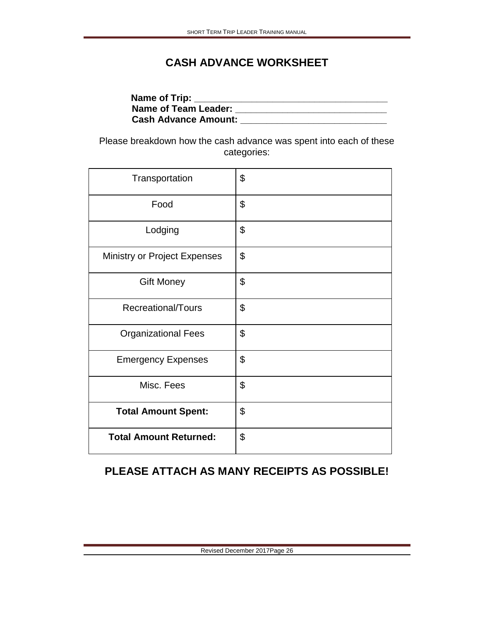# **CASH ADVANCE WORKSHEET**

| Name of Trip:               |  |
|-----------------------------|--|
| <b>Name of Team Leader:</b> |  |
| <b>Cash Advance Amount:</b> |  |

Please breakdown how the cash advance was spent into each of these categories:

| Transportation                | \$                        |
|-------------------------------|---------------------------|
| Food                          | \$                        |
| Lodging                       | $\boldsymbol{\mathsf{S}}$ |
| Ministry or Project Expenses  | $\mathfrak{L}$            |
| <b>Gift Money</b>             | \$                        |
| Recreational/Tours            | $\boldsymbol{\mathsf{S}}$ |
| <b>Organizational Fees</b>    | \$                        |
| <b>Emergency Expenses</b>     | \$                        |
| Misc. Fees                    | \$                        |
| <b>Total Amount Spent:</b>    | \$                        |
| <b>Total Amount Returned:</b> | \$                        |

# **PLEASE ATTACH AS MANY RECEIPTS AS POSSIBLE!**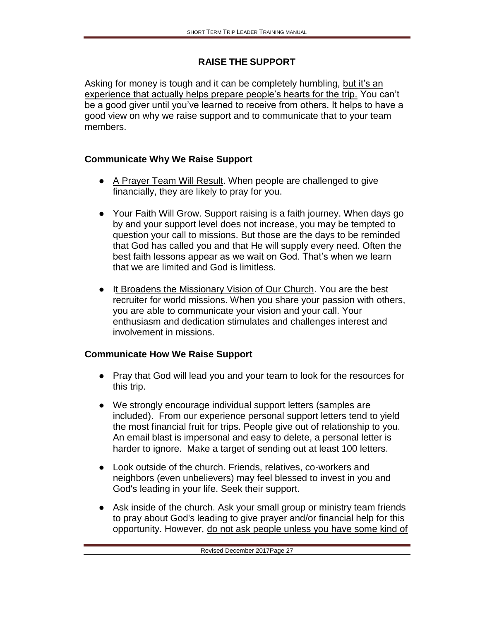## **RAISE THE SUPPORT**

Asking for money is tough and it can be completely humbling, but it's an experience that actually helps prepare people's hearts for the trip. You can't be a good giver until you've learned to receive from others. It helps to have a good view on why we raise support and to communicate that to your team members.

## **Communicate Why We Raise Support**

- A Prayer Team Will Result. When people are challenged to give financially, they are likely to pray for you.
- Your Faith Will Grow. Support raising is a faith journey. When days go by and your support level does not increase, you may be tempted to question your call to missions. But those are the days to be reminded that God has called you and that He will supply every need. Often the best faith lessons appear as we wait on God. That's when we learn that we are limited and God is limitless.
- It Broadens the Missionary Vision of Our Church. You are the best recruiter for world missions. When you share your passion with others, you are able to communicate your vision and your call. Your enthusiasm and dedication stimulates and challenges interest and involvement in missions.

## **Communicate How We Raise Support**

- Pray that God will lead you and your team to look for the resources for this trip.
- We strongly encourage individual support letters (samples are included). From our experience personal support letters tend to yield the most financial fruit for trips. People give out of relationship to you. An email blast is impersonal and easy to delete, a personal letter is harder to ignore. Make a target of sending out at least 100 letters.
- Look outside of the church. Friends, relatives, co-workers and neighbors (even unbelievers) may feel blessed to invest in you and God's leading in your life. Seek their support.
- Ask inside of the church. Ask your small group or ministry team friends to pray about God's leading to give prayer and/or financial help for this opportunity. However, do not ask people unless you have some kind of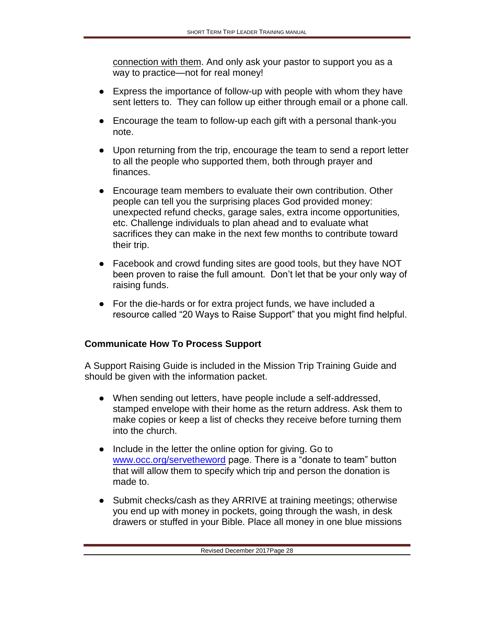connection with them. And only ask your pastor to support you as a way to practice—not for real money!

- Express the importance of follow-up with people with whom they have sent letters to. They can follow up either through email or a phone call.
- Encourage the team to follow-up each gift with a personal thank-you note.
- Upon returning from the trip, encourage the team to send a report letter to all the people who supported them, both through prayer and finances.
- Encourage team members to evaluate their own contribution. Other people can tell you the surprising places God provided money: unexpected refund checks, garage sales, extra income opportunities, etc. Challenge individuals to plan ahead and to evaluate what sacrifices they can make in the next few months to contribute toward their trip.
- Facebook and crowd funding sites are good tools, but they have NOT been proven to raise the full amount. Don't let that be your only way of raising funds.
- For the die-hards or for extra project funds, we have included a resource called "20 Ways to Raise Support" that you might find helpful.

## **Communicate How To Process Support**

A Support Raising Guide is included in the Mission Trip Training Guide and should be given with the information packet.

- When sending out letters, have people include a self-addressed, stamped envelope with their home as the return address. Ask them to make copies or keep a list of checks they receive before turning them into the church.
- Include in the letter the online option for giving. Go to [www.occ.org/servetheword](http://www.occ.org/servetheword) page. There is a "donate to team" button that will allow them to specify which trip and person the donation is made to.
- Submit checks/cash as they ARRIVE at training meetings; otherwise you end up with money in pockets, going through the wash, in desk drawers or stuffed in your Bible. Place all money in one blue missions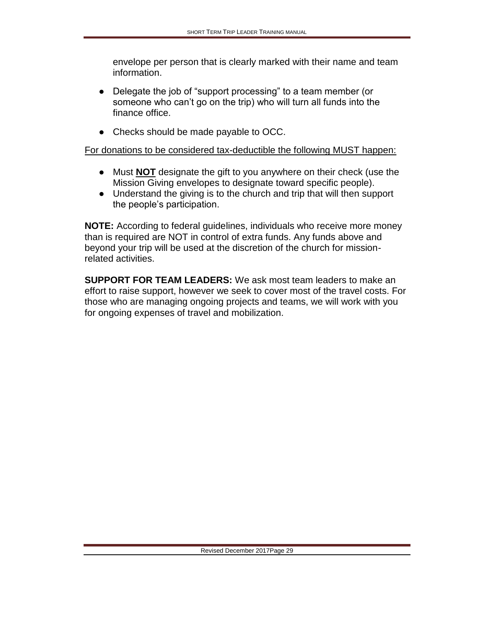envelope per person that is clearly marked with their name and team information.

- Delegate the job of "support processing" to a team member (or someone who can't go on the trip) who will turn all funds into the finance office.
- Checks should be made payable to OCC.

#### For donations to be considered tax-deductible the following MUST happen:

- Must **NOT** designate the gift to you anywhere on their check (use the Mission Giving envelopes to designate toward specific people).
- Understand the giving is to the church and trip that will then support the people's participation.

**NOTE:** According to federal guidelines, individuals who receive more money than is required are NOT in control of extra funds. Any funds above and beyond your trip will be used at the discretion of the church for missionrelated activities.

**SUPPORT FOR TEAM LEADERS:** We ask most team leaders to make an effort to raise support, however we seek to cover most of the travel costs. For those who are managing ongoing projects and teams, we will work with you for ongoing expenses of travel and mobilization.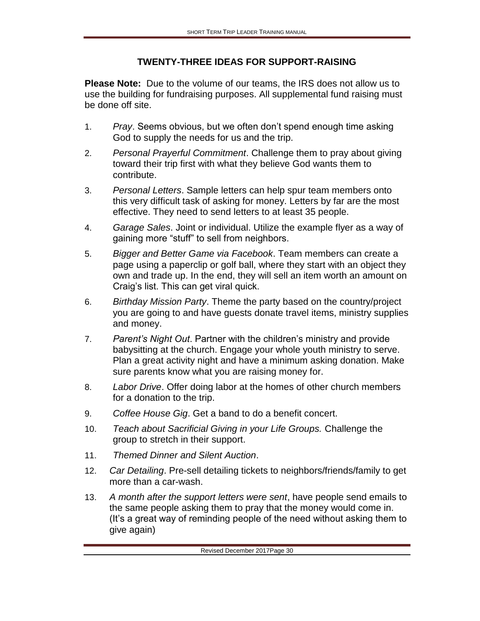### **TWENTY-THREE IDEAS FOR SUPPORT-RAISING**

**Please Note:** Due to the volume of our teams, the IRS does not allow us to use the building for fundraising purposes. All supplemental fund raising must be done off site.

- 1. *Pray*. Seems obvious, but we often don't spend enough time asking God to supply the needs for us and the trip.
- 2. *Personal Prayerful Commitment*. Challenge them to pray about giving toward their trip first with what they believe God wants them to contribute.
- 3. *Personal Letters*. Sample letters can help spur team members onto this very difficult task of asking for money. Letters by far are the most effective. They need to send letters to at least 35 people.
- 4. *Garage Sales*. Joint or individual. Utilize the example flyer as a way of gaining more "stuff" to sell from neighbors.
- 5. *Bigger and Better Game via Facebook*. Team members can create a page using a paperclip or golf ball, where they start with an object they own and trade up. In the end, they will sell an item worth an amount on Craig's list. This can get viral quick.
- 6. *Birthday Mission Party*. Theme the party based on the country/project you are going to and have guests donate travel items, ministry supplies and money.
- 7. *Parent's Night Out*. Partner with the children's ministry and provide babysitting at the church. Engage your whole youth ministry to serve. Plan a great activity night and have a minimum asking donation. Make sure parents know what you are raising money for.
- 8. *Labor Drive*. Offer doing labor at the homes of other church members for a donation to the trip.
- 9. *Coffee House Gig*. Get a band to do a benefit concert.
- 10. *Teach about Sacrificial Giving in your Life Groups.* Challenge the group to stretch in their support.
- 11. *Themed Dinner and Silent Auction*.
- 12. *Car Detailing*. Pre-sell detailing tickets to neighbors/friends/family to get more than a car-wash.
- 13. *A month after the support letters were sent*, have people send emails to the same people asking them to pray that the money would come in. (It's a great way of reminding people of the need without asking them to give again)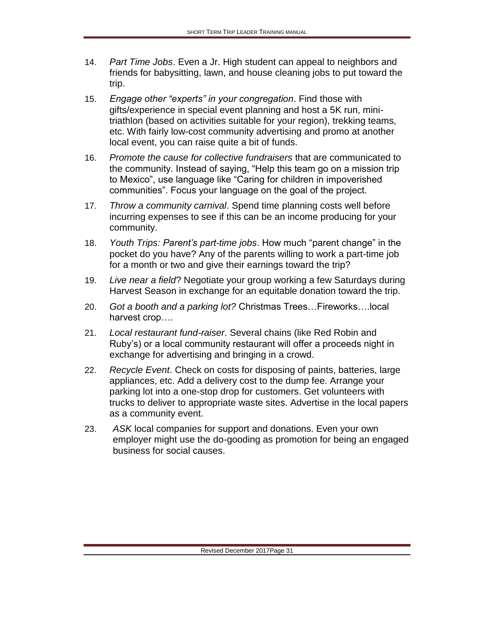- 14. *Part Time Jobs*. Even a Jr. High student can appeal to neighbors and friends for babysitting, lawn, and house cleaning jobs to put toward the trip.
- 15. *Engage other "experts" in your congregation*. Find those with gifts/experience in special event planning and host a 5K run, minitriathlon (based on activities suitable for your region), trekking teams, etc. With fairly low-cost community advertising and promo at another local event, you can raise quite a bit of funds.
- 16. *Promote the cause for collective fundraisers* that are communicated to the community. Instead of saying, "Help this team go on a mission trip to Mexico", use language like "Caring for children in impoverished communities". Focus your language on the goal of the project.
- 17. *Throw a community carnival*. Spend time planning costs well before incurring expenses to see if this can be an income producing for your community.
- 18. *Youth Trips: Parent's part-time jobs*. How much "parent change" in the pocket do you have? Any of the parents willing to work a part-time job for a month or two and give their earnings toward the trip?
- 19. *Live near a field*? Negotiate your group working a few Saturdays during Harvest Season in exchange for an equitable donation toward the trip.
- 20. *Got a booth and a parking lot?* Christmas Trees…Fireworks….local harvest crop….
- 21. *Local restaurant fund-raiser*. Several chains (like Red Robin and Ruby's) or a local community restaurant will offer a proceeds night in exchange for advertising and bringing in a crowd.
- 22. *Recycle Event*. Check on costs for disposing of paints, batteries, large appliances, etc. Add a delivery cost to the dump fee. Arrange your parking lot into a one-stop drop for customers. Get volunteers with trucks to deliver to appropriate waste sites. Advertise in the local papers as a community event.
- 23. *ASK* local companies for support and donations. Even your own employer might use the do-gooding as promotion for being an engaged business for social causes.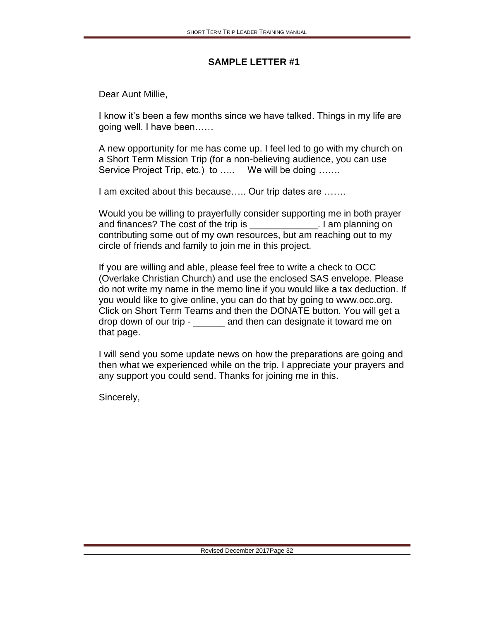Dear Aunt Millie,

I know it's been a few months since we have talked. Things in my life are going well. I have been……

A new opportunity for me has come up. I feel led to go with my church on a Short Term Mission Trip (for a non-believing audience, you can use Service Project Trip, etc.) to ..... We will be doing ......

I am excited about this because….. Our trip dates are …….

Would you be willing to prayerfully consider supporting me in both prayer and finances? The cost of the trip is The state on the state on the trip is the state on the state on the state on the state on the state on the state on the state on the state on the state on the state on the state on the contributing some out of my own resources, but am reaching out to my circle of friends and family to join me in this project.

If you are willing and able, please feel free to write a check to OCC (Overlake Christian Church) and use the enclosed SAS envelope. Please do not write my name in the memo line if you would like a tax deduction. If you would like to give online, you can do that by going to www.occ.org. Click on Short Term Teams and then the DONATE button. You will get a drop down of our trip - \_\_\_\_\_\_ and then can designate it toward me on that page.

I will send you some update news on how the preparations are going and then what we experienced while on the trip. I appreciate your prayers and any support you could send. Thanks for joining me in this.

Sincerely,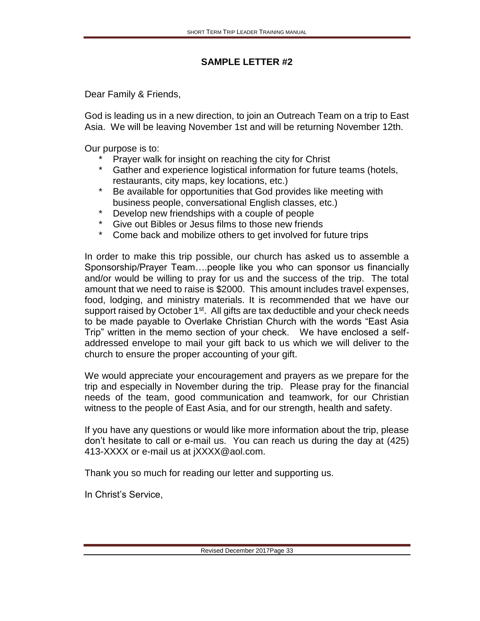Dear Family & Friends,

God is leading us in a new direction, to join an Outreach Team on a trip to East Asia. We will be leaving November 1st and will be returning November 12th.

Our purpose is to:

- \* Prayer walk for insight on reaching the city for Christ<br>\* Gather and experience logistical information for future
- Gather and experience logistical information for future teams (hotels, restaurants, city maps, key locations, etc.)
- \* Be available for opportunities that God provides like meeting with business people, conversational English classes, etc.)
- \* Develop new friendships with a couple of people
- Give out Bibles or Jesus films to those new friends
- \* Come back and mobilize others to get involved for future trips

In order to make this trip possible, our church has asked us to assemble a Sponsorship/Prayer Team….people like you who can sponsor us financially and/or would be willing to pray for us and the success of the trip. The total amount that we need to raise is \$2000. This amount includes travel expenses, food, lodging, and ministry materials. It is recommended that we have our support raised by October 1<sup>st</sup>. All gifts are tax deductible and your check needs to be made payable to Overlake Christian Church with the words "East Asia Trip" written in the memo section of your check. We have enclosed a selfaddressed envelope to mail your gift back to us which we will deliver to the church to ensure the proper accounting of your gift.

We would appreciate your encouragement and prayers as we prepare for the trip and especially in November during the trip. Please pray for the financial needs of the team, good communication and teamwork, for our Christian witness to the people of East Asia, and for our strength, health and safety.

If you have any questions or would like more information about the trip, please don't hesitate to call or e-mail us. You can reach us during the day at (425) 413-XXXX or e-mail us at jXXXX@aol.com.

Thank you so much for reading our letter and supporting us.

In Christ's Service,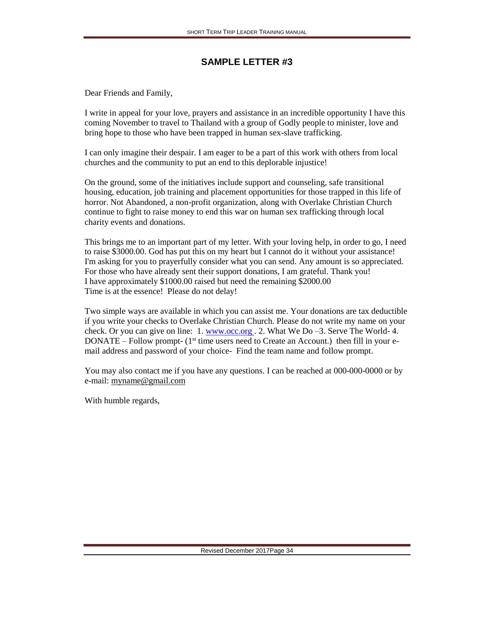Dear Friends and Family,

I write in appeal for your love, prayers and assistance in an incredible opportunity I have this coming November to travel to Thailand with a group of Godly people to minister, love and bring hope to those who have been trapped in human sex-slave trafficking.

I can only imagine their despair. I am eager to be a part of this work with others from local churches and the community to put an end to this deplorable injustice!

On the ground, some of the initiatives include support and counseling, safe transitional housing, education, job training and placement opportunities for those trapped in this life of horror. Not Abandoned, a non-profit organization, along with Overlake Christian Church continue to fight to raise money to end this war on human sex trafficking through local charity events and donations.

This brings me to an important part of my letter. With your loving help, in order to go, I need to raise \$3000.00. God has put this on my heart but I cannot do it without your assistance! I'm asking for you to prayerfully consider what you can send. Any amount is so appreciated. For those who have already sent their support donations, I am grateful. Thank you! I have approximately \$1000.00 raised but need the remaining \$2000.00 Time is at the essence! Please do not delay!

Two simple ways are available in which you can assist me. Your donations are tax deductible if you write your checks to Overlake Christian Church. Please do not write my name on your check. Or you can give on line:  $1.$  [www.occ.org](http://www.occ.org/). 2. What We Do  $-3.$  Serve The World-4.  $DOMATE - Follow prompt - (1<sup>st</sup> time users need to Create an Account.) then fill in your e$ mail address and password of your choice- Find the team name and follow prompt.

You may also contact me if you have any questions. I can be reached at 000-000-0000 or by e-mail: [myname@gmail.com](mailto:susan@susanspencer.com)

With humble regards,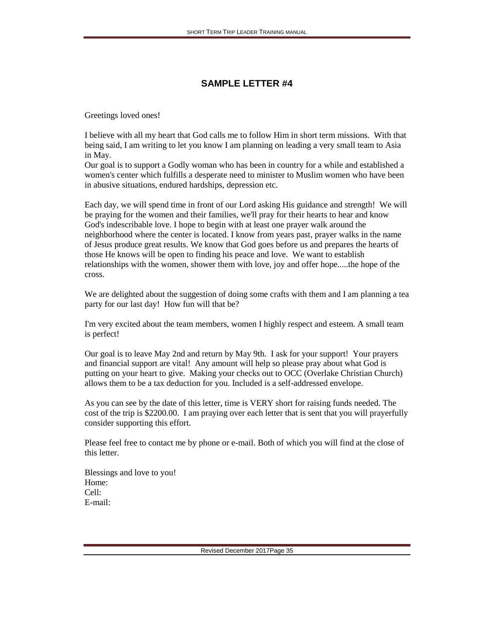Greetings loved ones!

I believe with all my heart that God calls me to follow Him in short term missions. With that being said, I am writing to let you know I am planning on leading a very small team to Asia in May.

Our goal is to support a Godly woman who has been in country for a while and established a women's center which fulfills a desperate need to minister to Muslim women who have been in abusive situations, endured hardships, depression etc.

Each day, we will spend time in front of our Lord asking His guidance and strength! We will be praying for the women and their families, we'll pray for their hearts to hear and know God's indescribable love. I hope to begin with at least one prayer walk around the neighborhood where the center is located. I know from years past, prayer walks in the name of Jesus produce great results. We know that God goes before us and prepares the hearts of those He knows will be open to finding his peace and love. We want to establish relationships with the women, shower them with love, joy and offer hope.....the hope of the cross.

We are delighted about the suggestion of doing some crafts with them and I am planning a tea party for our last day! How fun will that be?

I'm very excited about the team members, women I highly respect and esteem. A small team is perfect!

Our goal is to leave May 2nd and return by May 9th. I ask for your support! Your prayers and financial support are vital! Any amount will help so please pray about what God is putting on your heart to give. Making your checks out to OCC (Overlake Christian Church) allows them to be a tax deduction for you. Included is a self-addressed envelope.

As you can see by the date of this letter, time is VERY short for raising funds needed. The cost of the trip is \$2200.00. I am praying over each letter that is sent that you will prayerfully consider supporting this effort.

Please feel free to contact me by phone or e-mail. Both of which you will find at the close of this letter.

Blessings and love to you! Home: Cell: E-mail: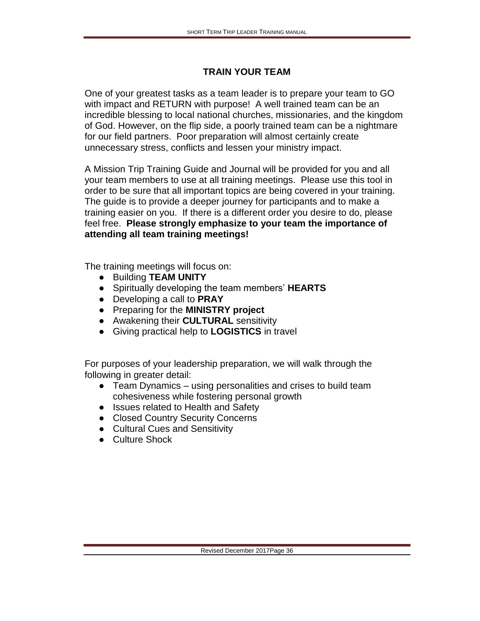### **TRAIN YOUR TEAM**

One of your greatest tasks as a team leader is to prepare your team to GO with impact and RETURN with purpose! A well trained team can be an incredible blessing to local national churches, missionaries, and the kingdom of God. However, on the flip side, a poorly trained team can be a nightmare for our field partners. Poor preparation will almost certainly create unnecessary stress, conflicts and lessen your ministry impact.

A Mission Trip Training Guide and Journal will be provided for you and all your team members to use at all training meetings. Please use this tool in order to be sure that all important topics are being covered in your training. The guide is to provide a deeper journey for participants and to make a training easier on you. If there is a different order you desire to do, please feel free. **Please strongly emphasize to your team the importance of attending all team training meetings!** 

The training meetings will focus on:

- Building **TEAM UNITY**
- Spiritually developing the team members' **HEARTS**
- Developing a call to **PRAY**
- Preparing for the **MINISTRY project**
- Awakening their **CULTURAL** sensitivity
- Giving practical help to **LOGISTICS** in travel

For purposes of your leadership preparation, we will walk through the following in greater detail:

- Team Dynamics using personalities and crises to build team cohesiveness while fostering personal growth
- Issues related to Health and Safety
- Closed Country Security Concerns
- Cultural Cues and Sensitivity
- Culture Shock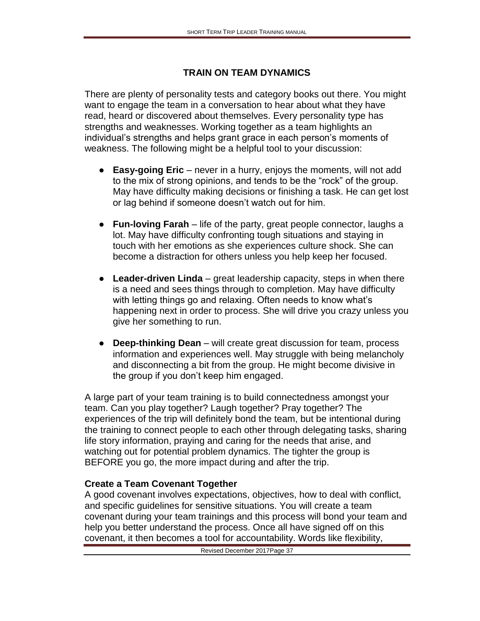## **TRAIN ON TEAM DYNAMICS**

There are plenty of personality tests and category books out there. You might want to engage the team in a conversation to hear about what they have read, heard or discovered about themselves. Every personality type has strengths and weaknesses. Working together as a team highlights an individual's strengths and helps grant grace in each person's moments of weakness. The following might be a helpful tool to your discussion:

- **Easy-going Eric**  never in a hurry, enjoys the moments, will not add to the mix of strong opinions, and tends to be the "rock" of the group. May have difficulty making decisions or finishing a task. He can get lost or lag behind if someone doesn't watch out for him.
- **Fun-loving Farah** life of the party, great people connector, laughs a lot. May have difficulty confronting tough situations and staying in touch with her emotions as she experiences culture shock. She can become a distraction for others unless you help keep her focused.
- **Leader-driven Linda** great leadership capacity, steps in when there is a need and sees things through to completion. May have difficulty with letting things go and relaxing. Often needs to know what's happening next in order to process. She will drive you crazy unless you give her something to run.
- **Deep-thinking Dean** will create great discussion for team, process information and experiences well. May struggle with being melancholy and disconnecting a bit from the group. He might become divisive in the group if you don't keep him engaged.

A large part of your team training is to build connectedness amongst your team. Can you play together? Laugh together? Pray together? The experiences of the trip will definitely bond the team, but be intentional during the training to connect people to each other through delegating tasks, sharing life story information, praying and caring for the needs that arise, and watching out for potential problem dynamics. The tighter the group is BEFORE you go, the more impact during and after the trip.

## **Create a Team Covenant Together**

A good covenant involves expectations, objectives, how to deal with conflict, and specific guidelines for sensitive situations. You will create a team covenant during your team trainings and this process will bond your team and help you better understand the process. Once all have signed off on this covenant, it then becomes a tool for accountability. Words like flexibility,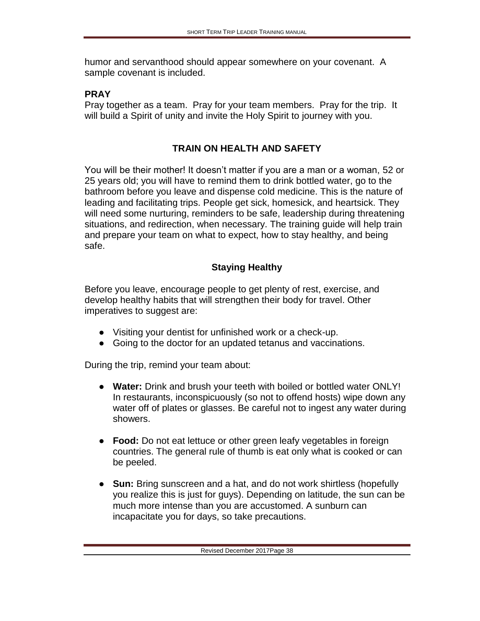humor and servanthood should appear somewhere on your covenant. A sample covenant is included.

#### **PRAY**

Pray together as a team. Pray for your team members. Pray for the trip. It will build a Spirit of unity and invite the Holy Spirit to journey with you.

# **TRAIN ON HEALTH AND SAFETY**

You will be their mother! It doesn't matter if you are a man or a woman, 52 or 25 years old; you will have to remind them to drink bottled water, go to the bathroom before you leave and dispense cold medicine. This is the nature of leading and facilitating trips. People get sick, homesick, and heartsick. They will need some nurturing, reminders to be safe, leadership during threatening situations, and redirection, when necessary. The training guide will help train and prepare your team on what to expect, how to stay healthy, and being safe.

# **Staying Healthy**

Before you leave, encourage people to get plenty of rest, exercise, and develop healthy habits that will strengthen their body for travel. Other imperatives to suggest are:

- Visiting your dentist for unfinished work or a check-up.
- Going to the doctor for an updated tetanus and vaccinations.

During the trip, remind your team about:

- **Water:** Drink and brush your teeth with boiled or bottled water ONLY! In restaurants, inconspicuously (so not to offend hosts) wipe down any water off of plates or glasses. Be careful not to ingest any water during showers.
- **Food:** Do not eat lettuce or other green leafy vegetables in foreign countries. The general rule of thumb is eat only what is cooked or can be peeled.
- **Sun:** Bring sunscreen and a hat, and do not work shirtless (hopefully you realize this is just for guys). Depending on latitude, the sun can be much more intense than you are accustomed. A sunburn can incapacitate you for days, so take precautions.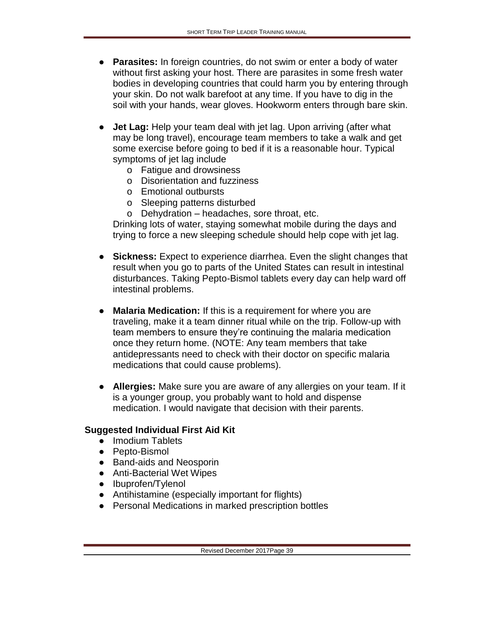- **Parasites:** In foreign countries, do not swim or enter a body of water without first asking your host. There are parasites in some fresh water bodies in developing countries that could harm you by entering through your skin. Do not walk barefoot at any time. If you have to dig in the soil with your hands, wear gloves. Hookworm enters through bare skin.
- **Jet Lag:** Help your team deal with jet lag. Upon arriving (after what may be long travel), encourage team members to take a walk and get some exercise before going to bed if it is a reasonable hour. Typical symptoms of jet lag include
	- o Fatigue and drowsiness
	- o Disorientation and fuzziness
	- o Emotional outbursts
	- o Sleeping patterns disturbed
	- o Dehydration headaches, sore throat, etc.

Drinking lots of water, staying somewhat mobile during the days and trying to force a new sleeping schedule should help cope with jet lag.

- **Sickness:** Expect to experience diarrhea. Even the slight changes that result when you go to parts of the United States can result in intestinal disturbances. Taking Pepto-Bismol tablets every day can help ward off intestinal problems.
- **Malaria Medication:** If this is a requirement for where you are traveling, make it a team dinner ritual while on the trip. Follow-up with team members to ensure they're continuing the malaria medication once they return home. (NOTE: Any team members that take antidepressants need to check with their doctor on specific malaria medications that could cause problems).
- **Allergies:** Make sure you are aware of any allergies on your team. If it is a younger group, you probably want to hold and dispense medication. I would navigate that decision with their parents.

#### **Suggested Individual First Aid Kit**

- Imodium Tablets
- Pepto-Bismol
- Band-aids and Neosporin
- Anti-Bacterial Wet Wipes
- Ibuprofen/Tylenol
- Antihistamine (especially important for flights)
- Personal Medications in marked prescription bottles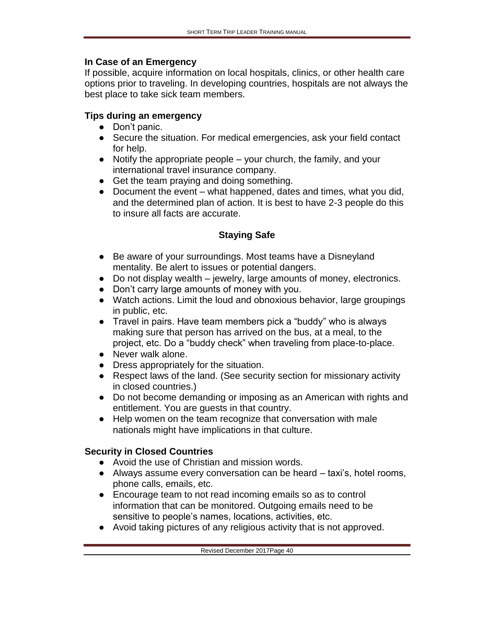#### **In Case of an Emergency**

If possible, acquire information on local hospitals, clinics, or other health care options prior to traveling. In developing countries, hospitals are not always the best place to take sick team members.

## **Tips during an emergency**

- Don't panic.
- Secure the situation. For medical emergencies, ask your field contact for help.
- $\bullet$  Notify the appropriate people your church, the family, and your international travel insurance company.
- Get the team praying and doing something.
- Document the event what happened, dates and times, what you did, and the determined plan of action. It is best to have 2-3 people do this to insure all facts are accurate.

## **Staying Safe**

- Be aware of your surroundings. Most teams have a Disneyland mentality. Be alert to issues or potential dangers.
- Do not display wealth jewelry, large amounts of money, electronics.
- Don't carry large amounts of money with you.
- Watch actions. Limit the loud and obnoxious behavior, large groupings in public, etc.
- Travel in pairs. Have team members pick a "buddy" who is always making sure that person has arrived on the bus, at a meal, to the project, etc. Do a "buddy check" when traveling from place-to-place.
- Never walk alone.
- Dress appropriately for the situation.
- Respect laws of the land. (See security section for missionary activity in closed countries.)
- Do not become demanding or imposing as an American with rights and entitlement. You are guests in that country.
- Help women on the team recognize that conversation with male nationals might have implications in that culture.

## **Security in Closed Countries**

- Avoid the use of Christian and mission words.
- $\bullet$  Always assume every conversation can be heard  $-$  taxi's, hotel rooms, phone calls, emails, etc.
- Encourage team to not read incoming emails so as to control information that can be monitored. Outgoing emails need to be sensitive to people's names, locations, activities, etc.
- Avoid taking pictures of any religious activity that is not approved.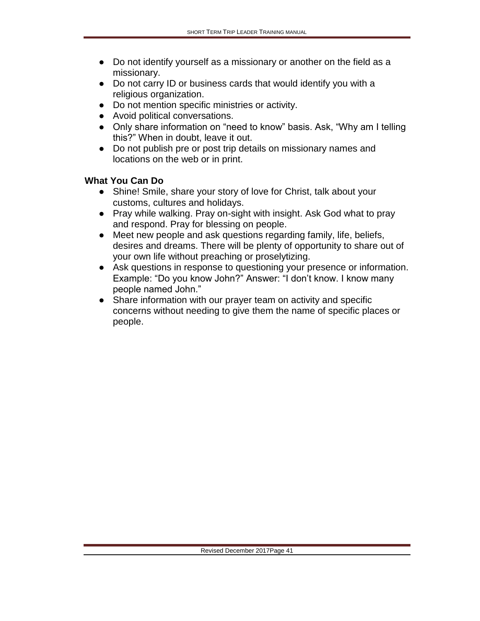- Do not identify yourself as a missionary or another on the field as a missionary.
- Do not carry ID or business cards that would identify you with a religious organization.
- Do not mention specific ministries or activity.
- Avoid political conversations.
- Only share information on "need to know" basis. Ask, "Why am I telling this?" When in doubt, leave it out.
- Do not publish pre or post trip details on missionary names and locations on the web or in print.

#### **What You Can Do**

- Shine! Smile, share your story of love for Christ, talk about your customs, cultures and holidays.
- Pray while walking. Pray on-sight with insight. Ask God what to pray and respond. Pray for blessing on people.
- Meet new people and ask questions regarding family, life, beliefs, desires and dreams. There will be plenty of opportunity to share out of your own life without preaching or proselytizing.
- Ask questions in response to questioning your presence or information. Example: "Do you know John?" Answer: "I don't know. I know many people named John."
- Share information with our prayer team on activity and specific concerns without needing to give them the name of specific places or people.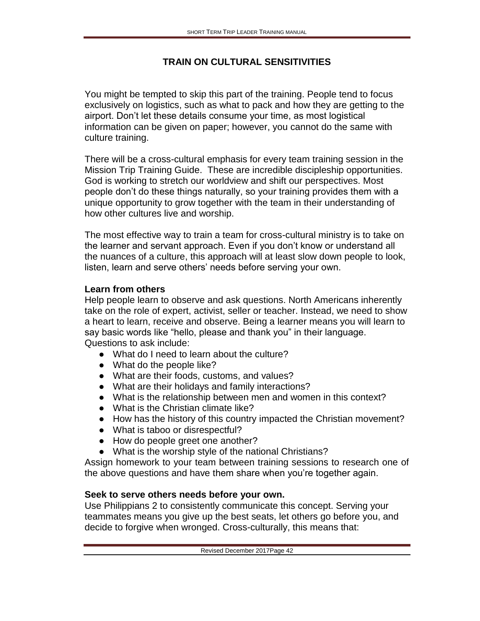## **TRAIN ON CULTURAL SENSITIVITIES**

You might be tempted to skip this part of the training. People tend to focus exclusively on logistics, such as what to pack and how they are getting to the airport. Don't let these details consume your time, as most logistical information can be given on paper; however, you cannot do the same with culture training.

There will be a cross-cultural emphasis for every team training session in the Mission Trip Training Guide. These are incredible discipleship opportunities. God is working to stretch our worldview and shift our perspectives. Most people don't do these things naturally, so your training provides them with a unique opportunity to grow together with the team in their understanding of how other cultures live and worship.

The most effective way to train a team for cross-cultural ministry is to take on the learner and servant approach. Even if you don't know or understand all the nuances of a culture, this approach will at least slow down people to look, listen, learn and serve others' needs before serving your own.

### **Learn from others**

Help people learn to observe and ask questions. North Americans inherently take on the role of expert, activist, seller or teacher. Instead, we need to show a heart to learn, receive and observe. Being a learner means you will learn to say basic words like "hello, please and thank you" in their language. Questions to ask include:

- What do I need to learn about the culture?
- What do the people like?
- What are their foods, customs, and values?
- What are their holidays and family interactions?
- What is the relationship between men and women in this context?
- What is the Christian climate like?
- How has the history of this country impacted the Christian movement?
- What is taboo or disrespectful?
- How do people greet one another?
- What is the worship style of the national Christians?

Assign homework to your team between training sessions to research one of the above questions and have them share when you're together again.

## **Seek to serve others needs before your own.**

Use Philippians 2 to consistently communicate this concept. Serving your teammates means you give up the best seats, let others go before you, and decide to forgive when wronged. Cross-culturally, this means that: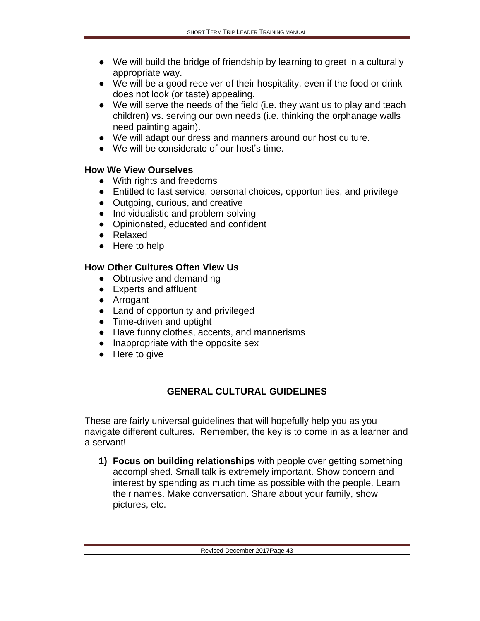- We will build the bridge of friendship by learning to greet in a culturally appropriate way.
- We will be a good receiver of their hospitality, even if the food or drink does not look (or taste) appealing.
- We will serve the needs of the field (i.e. they want us to play and teach children) vs. serving our own needs (i.e. thinking the orphanage walls need painting again).
- We will adapt our dress and manners around our host culture.
- We will be considerate of our host's time.

#### **How We View Ourselves**

- With rights and freedoms
- Entitled to fast service, personal choices, opportunities, and privilege
- Outgoing, curious, and creative
- Individualistic and problem-solving
- Opinionated, educated and confident
- Relaxed
- Here to help

## **How Other Cultures Often View Us**

- Obtrusive and demanding
- Experts and affluent
- Arrogant
- Land of opportunity and privileged
- Time-driven and uptight
- Have funny clothes, accents, and mannerisms
- Inappropriate with the opposite sex
- Here to give

# **GENERAL CULTURAL GUIDELINES**

These are fairly universal guidelines that will hopefully help you as you navigate different cultures. Remember, the key is to come in as a learner and a servant!

**1) Focus on building relationships** with people over getting something accomplished. Small talk is extremely important. Show concern and interest by spending as much time as possible with the people. Learn their names. Make conversation. Share about your family, show pictures, etc.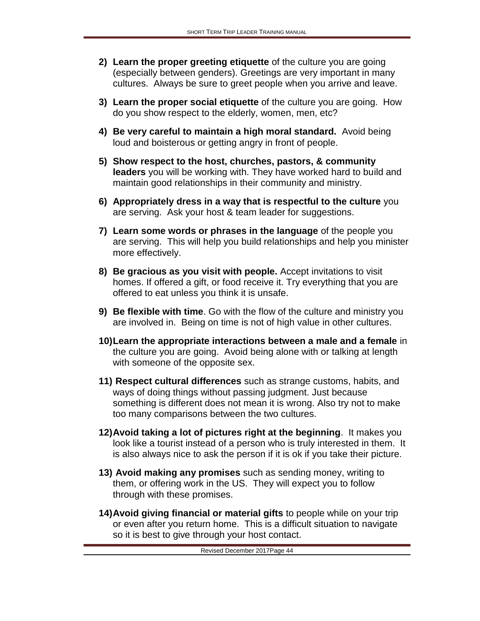- **2) Learn the proper greeting etiquette** of the culture you are going (especially between genders). Greetings are very important in many cultures. Always be sure to greet people when you arrive and leave.
- **3) Learn the proper social etiquette** of the culture you are going. How do you show respect to the elderly, women, men, etc?
- **4) Be very careful to maintain a high moral standard.** Avoid being loud and boisterous or getting angry in front of people.
- **5) Show respect to the host, churches, pastors, & community leaders** you will be working with. They have worked hard to build and maintain good relationships in their community and ministry.
- **6) Appropriately dress in a way that is respectful to the culture** you are serving. Ask your host & team leader for suggestions.
- **7) Learn some words or phrases in the language** of the people you are serving. This will help you build relationships and help you minister more effectively.
- **8) Be gracious as you visit with people.** Accept invitations to visit homes. If offered a gift, or food receive it. Try everything that you are offered to eat unless you think it is unsafe.
- **9) Be flexible with time**. Go with the flow of the culture and ministry you are involved in. Being on time is not of high value in other cultures.
- **10)Learn the appropriate interactions between a male and a female** in the culture you are going. Avoid being alone with or talking at length with someone of the opposite sex.
- **11) Respect cultural differences** such as strange customs, habits, and ways of doing things without passing judgment. Just because something is different does not mean it is wrong. Also try not to make too many comparisons between the two cultures.
- **12)Avoid taking a lot of pictures right at the beginning**. It makes you look like a tourist instead of a person who is truly interested in them. It is also always nice to ask the person if it is ok if you take their picture.
- **13) Avoid making any promises** such as sending money, writing to them, or offering work in the US. They will expect you to follow through with these promises.
- **14)Avoid giving financial or material gifts** to people while on your trip or even after you return home. This is a difficult situation to navigate so it is best to give through your host contact.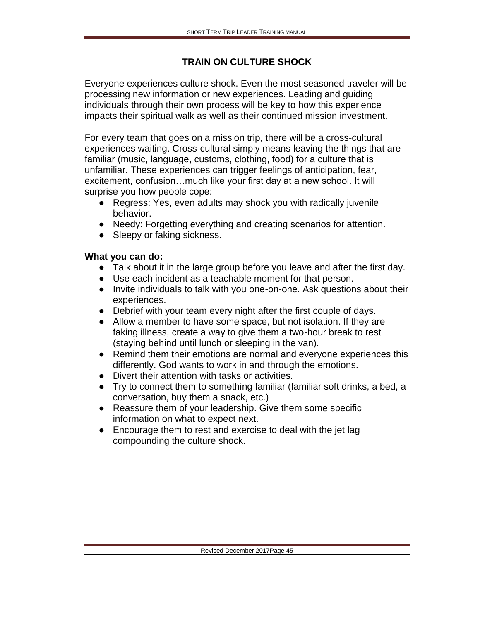## **TRAIN ON CULTURE SHOCK**

Everyone experiences culture shock. Even the most seasoned traveler will be processing new information or new experiences. Leading and guiding individuals through their own process will be key to how this experience impacts their spiritual walk as well as their continued mission investment.

For every team that goes on a mission trip, there will be a cross-cultural experiences waiting. Cross-cultural simply means leaving the things that are familiar (music, language, customs, clothing, food) for a culture that is unfamiliar. These experiences can trigger feelings of anticipation, fear, excitement, confusion…much like your first day at a new school. It will surprise you how people cope:

- Regress: Yes, even adults may shock you with radically juvenile behavior.
- Needy: Forgetting everything and creating scenarios for attention.
- Sleepy or faking sickness.

### **What you can do:**

- Talk about it in the large group before you leave and after the first day.
- Use each incident as a teachable moment for that person.
- Invite individuals to talk with you one-on-one. Ask questions about their experiences.
- Debrief with your team every night after the first couple of days.
- Allow a member to have some space, but not isolation. If they are faking illness, create a way to give them a two-hour break to rest (staying behind until lunch or sleeping in the van).
- Remind them their emotions are normal and everyone experiences this differently. God wants to work in and through the emotions.
- Divert their attention with tasks or activities.
- Try to connect them to something familiar (familiar soft drinks, a bed, a conversation, buy them a snack, etc.)
- Reassure them of your leadership. Give them some specific information on what to expect next.
- Encourage them to rest and exercise to deal with the jet lag compounding the culture shock.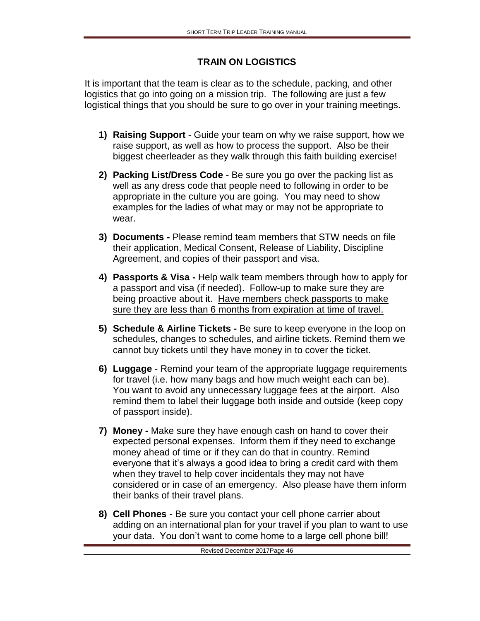## **TRAIN ON LOGISTICS**

It is important that the team is clear as to the schedule, packing, and other logistics that go into going on a mission trip. The following are just a few logistical things that you should be sure to go over in your training meetings.

- **1) Raising Support** Guide your team on why we raise support, how we raise support, as well as how to process the support. Also be their biggest cheerleader as they walk through this faith building exercise!
- **2) Packing List/Dress Code** Be sure you go over the packing list as well as any dress code that people need to following in order to be appropriate in the culture you are going. You may need to show examples for the ladies of what may or may not be appropriate to wear.
- **3) Documents -** Please remind team members that STW needs on file their application, Medical Consent, Release of Liability, Discipline Agreement, and copies of their passport and visa.
- **4) Passports & Visa -** Help walk team members through how to apply for a passport and visa (if needed). Follow-up to make sure they are being proactive about it. Have members check passports to make sure they are less than 6 months from expiration at time of travel.
- **5) Schedule & Airline Tickets -** Be sure to keep everyone in the loop on schedules, changes to schedules, and airline tickets. Remind them we cannot buy tickets until they have money in to cover the ticket.
- **6) Luggage** Remind your team of the appropriate luggage requirements for travel (i.e. how many bags and how much weight each can be). You want to avoid any unnecessary luggage fees at the airport. Also remind them to label their luggage both inside and outside (keep copy of passport inside).
- **7) Money -** Make sure they have enough cash on hand to cover their expected personal expenses. Inform them if they need to exchange money ahead of time or if they can do that in country. Remind everyone that it's always a good idea to bring a credit card with them when they travel to help cover incidentals they may not have considered or in case of an emergency. Also please have them inform their banks of their travel plans.
- **8) Cell Phones** Be sure you contact your cell phone carrier about adding on an international plan for your travel if you plan to want to use your data. You don't want to come home to a large cell phone bill!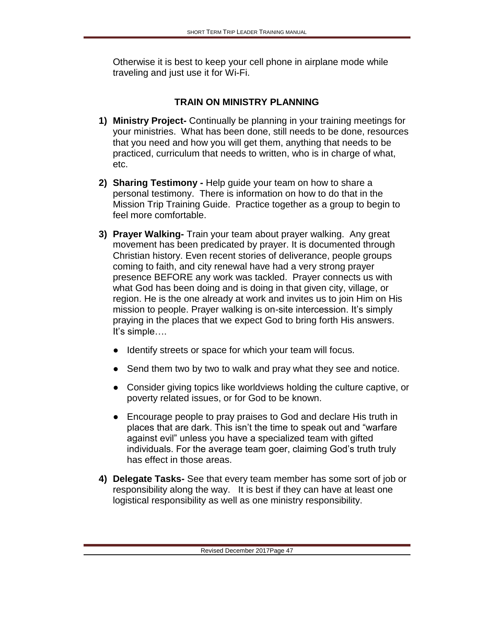Otherwise it is best to keep your cell phone in airplane mode while traveling and just use it for Wi-Fi.

## **TRAIN ON MINISTRY PLANNING**

- **1) Ministry Project-** Continually be planning in your training meetings for your ministries. What has been done, still needs to be done, resources that you need and how you will get them, anything that needs to be practiced, curriculum that needs to written, who is in charge of what, etc.
- **2) Sharing Testimony -** Help guide your team on how to share a personal testimony. There is information on how to do that in the Mission Trip Training Guide. Practice together as a group to begin to feel more comfortable.
- **3) Prayer Walking-** Train your team about prayer walking. Any great movement has been predicated by prayer. It is documented through Christian history. Even recent stories of deliverance, people groups coming to faith, and city renewal have had a very strong prayer presence BEFORE any work was tackled. Prayer connects us with what God has been doing and is doing in that given city, village, or region. He is the one already at work and invites us to join Him on His mission to people. Prayer walking is on-site intercession. It's simply praying in the places that we expect God to bring forth His answers. It's simple….
	- Identify streets or space for which your team will focus.
	- Send them two by two to walk and pray what they see and notice.
	- Consider giving topics like worldviews holding the culture captive, or poverty related issues, or for God to be known.
	- Encourage people to pray praises to God and declare His truth in places that are dark. This isn't the time to speak out and "warfare against evil" unless you have a specialized team with gifted individuals. For the average team goer, claiming God's truth truly has effect in those areas.
- **4) Delegate Tasks-** See that every team member has some sort of job or responsibility along the way. It is best if they can have at least one logistical responsibility as well as one ministry responsibility.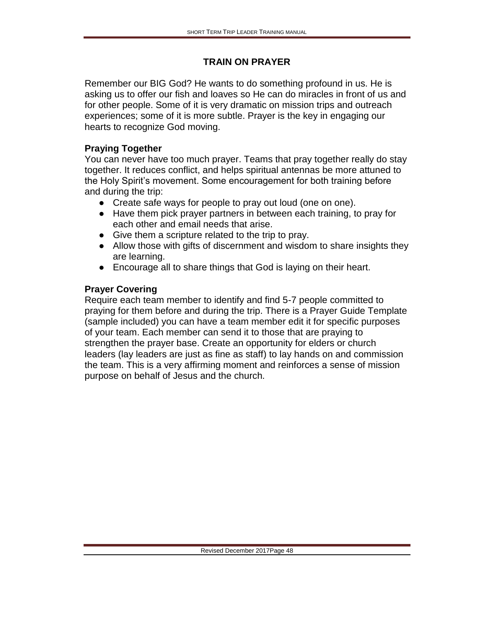#### **TRAIN ON PRAYER**

Remember our BIG God? He wants to do something profound in us. He is asking us to offer our fish and loaves so He can do miracles in front of us and for other people. Some of it is very dramatic on mission trips and outreach experiences; some of it is more subtle. Prayer is the key in engaging our hearts to recognize God moving.

#### **Praying Together**

You can never have too much prayer. Teams that pray together really do stay together. It reduces conflict, and helps spiritual antennas be more attuned to the Holy Spirit's movement. Some encouragement for both training before and during the trip:

- Create safe ways for people to pray out loud (one on one).
- Have them pick prayer partners in between each training, to pray for each other and email needs that arise.
- Give them a scripture related to the trip to pray.
- Allow those with gifts of discernment and wisdom to share insights they are learning.
- Encourage all to share things that God is laying on their heart.

#### **Prayer Covering**

Require each team member to identify and find 5-7 people committed to praying for them before and during the trip. There is a Prayer Guide Template (sample included) you can have a team member edit it for specific purposes of your team. Each member can send it to those that are praying to strengthen the prayer base. Create an opportunity for elders or church leaders (lay leaders are just as fine as staff) to lay hands on and commission the team. This is a very affirming moment and reinforces a sense of mission purpose on behalf of Jesus and the church.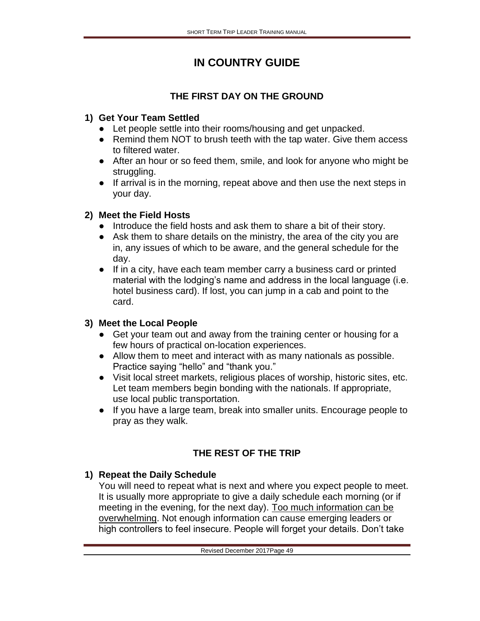# **IN COUNTRY GUIDE**

# **THE FIRST DAY ON THE GROUND**

## **1) Get Your Team Settled**

- Let people settle into their rooms/housing and get unpacked.
- Remind them NOT to brush teeth with the tap water. Give them access to filtered water.
- After an hour or so feed them, smile, and look for anyone who might be struggling.
- If arrival is in the morning, repeat above and then use the next steps in your day.

## **2) Meet the Field Hosts**

- Introduce the field hosts and ask them to share a bit of their story.
- Ask them to share details on the ministry, the area of the city you are in, any issues of which to be aware, and the general schedule for the day.
- If in a city, have each team member carry a business card or printed material with the lodging's name and address in the local language (i.e. hotel business card). If lost, you can jump in a cab and point to the card.

## **3) Meet the Local People**

- Get your team out and away from the training center or housing for a few hours of practical on-location experiences.
- Allow them to meet and interact with as many nationals as possible. Practice saying "hello" and "thank you."
- Visit local street markets, religious places of worship, historic sites, etc. Let team members begin bonding with the nationals. If appropriate, use local public transportation.
- If you have a large team, break into smaller units. Encourage people to pray as they walk.

# **THE REST OF THE TRIP**

# **1) Repeat the Daily Schedule**

You will need to repeat what is next and where you expect people to meet. It is usually more appropriate to give a daily schedule each morning (or if meeting in the evening, for the next day). Too much information can be overwhelming. Not enough information can cause emerging leaders or high controllers to feel insecure. People will forget your details. Don't take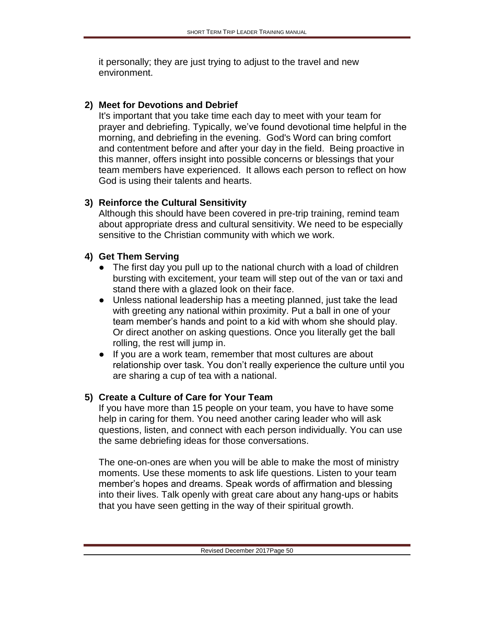it personally; they are just trying to adjust to the travel and new environment.

#### **2) Meet for Devotions and Debrief**

It's important that you take time each day to meet with your team for prayer and debriefing. Typically, we've found devotional time helpful in the morning, and debriefing in the evening. God's Word can bring comfort and contentment before and after your day in the field. Being proactive in this manner, offers insight into possible concerns or blessings that your team members have experienced. It allows each person to reflect on how God is using their talents and hearts.

### **3) Reinforce the Cultural Sensitivity**

Although this should have been covered in pre-trip training, remind team about appropriate dress and cultural sensitivity. We need to be especially sensitive to the Christian community with which we work.

### **4) Get Them Serving**

- The first day you pull up to the national church with a load of children bursting with excitement, your team will step out of the van or taxi and stand there with a glazed look on their face.
- Unless national leadership has a meeting planned, just take the lead with greeting any national within proximity. Put a ball in one of your team member's hands and point to a kid with whom she should play. Or direct another on asking questions. Once you literally get the ball rolling, the rest will jump in.
- If you are a work team, remember that most cultures are about relationship over task. You don't really experience the culture until you are sharing a cup of tea with a national.

## **5) Create a Culture of Care for Your Team**

If you have more than 15 people on your team, you have to have some help in caring for them. You need another caring leader who will ask questions, listen, and connect with each person individually. You can use the same debriefing ideas for those conversations.

The one-on-ones are when you will be able to make the most of ministry moments. Use these moments to ask life questions. Listen to your team member's hopes and dreams. Speak words of affirmation and blessing into their lives. Talk openly with great care about any hang-ups or habits that you have seen getting in the way of their spiritual growth.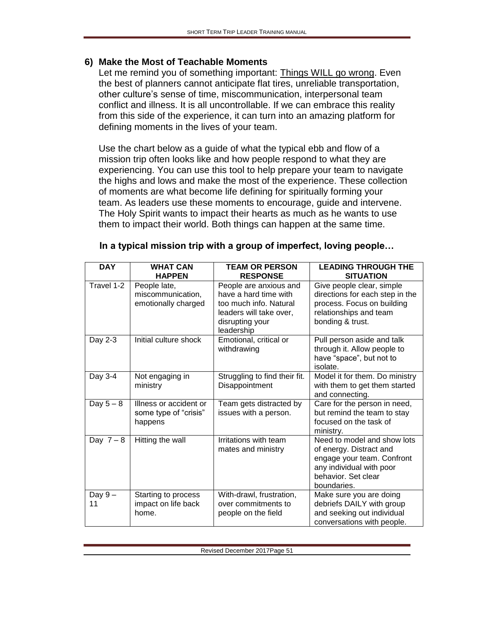#### **6) Make the Most of Teachable Moments**

Let me remind you of something important: Things WILL go wrong. Even the best of planners cannot anticipate flat tires, unreliable transportation, other culture's sense of time, miscommunication, interpersonal team conflict and illness. It is all uncontrollable. If we can embrace this reality from this side of the experience, it can turn into an amazing platform for defining moments in the lives of your team.

Use the chart below as a guide of what the typical ebb and flow of a mission trip often looks like and how people respond to what they are experiencing. You can use this tool to help prepare your team to navigate the highs and lows and make the most of the experience. These collection of moments are what become life defining for spiritually forming your team. As leaders use these moments to encourage, guide and intervene. The Holy Spirit wants to impact their hearts as much as he wants to use them to impact their world. Both things can happen at the same time.

| <b>DAY</b>     | <b>WHAT CAN</b><br><b>HAPPEN</b>                           | <b>TEAM OR PERSON</b><br><b>RESPONSE</b>                                                                                              | <b>LEADING THROUGH THE</b><br><b>SITUATION</b>                                                                                                         |
|----------------|------------------------------------------------------------|---------------------------------------------------------------------------------------------------------------------------------------|--------------------------------------------------------------------------------------------------------------------------------------------------------|
| Travel 1-2     | People late,<br>miscommunication,<br>emotionally charged   | People are anxious and<br>have a hard time with<br>too much info. Natural<br>leaders will take over,<br>disrupting your<br>leadership | Give people clear, simple<br>directions for each step in the<br>process. Focus on building<br>relationships and team<br>bonding & trust.               |
| Day 2-3        | Initial culture shock                                      | Emotional, critical or<br>withdrawing                                                                                                 | Pull person aside and talk<br>through it. Allow people to<br>have "space", but not to<br>isolate.                                                      |
| Day 3-4        | Not engaging in<br>ministry                                | Struggling to find their fit.<br>Disappointment                                                                                       | Model it for them. Do ministry<br>with them to get them started<br>and connecting.                                                                     |
| Day $5-8$      | Illness or accident or<br>some type of "crisis"<br>happens | Team gets distracted by<br>issues with a person.                                                                                      | Care for the person in need,<br>but remind the team to stay<br>focused on the task of<br>ministry.                                                     |
| Day $7-8$      | Hitting the wall                                           | Irritations with team<br>mates and ministry                                                                                           | Need to model and show lots<br>of energy. Distract and<br>engage your team. Confront<br>any individual with poor<br>behavior. Set clear<br>boundaries. |
| Day $9-$<br>11 | Starting to process<br>impact on life back<br>home.        | With-drawl, frustration,<br>over commitments to<br>people on the field                                                                | Make sure you are doing<br>debriefs DAILY with group<br>and seeking out individual<br>conversations with people.                                       |

| In a typical mission trip with a group of imperfect, loving people |  |  |  |  |
|--------------------------------------------------------------------|--|--|--|--|
|--------------------------------------------------------------------|--|--|--|--|

Revised December 2017Page 51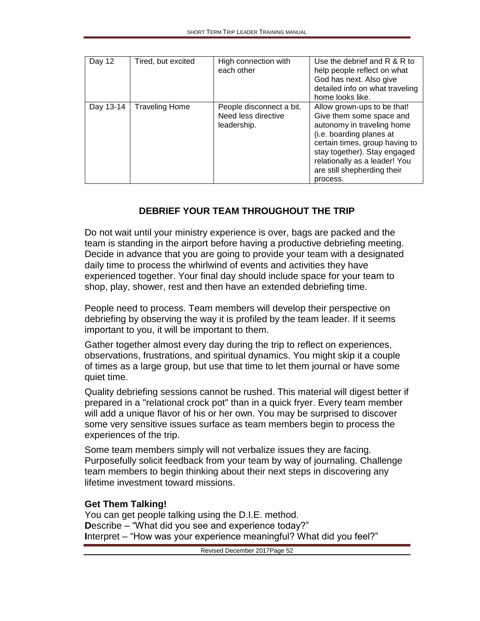| Day 12    | Tired, but excited    | High connection with<br>each other                             | Use the debrief and R & R to<br>help people reflect on what<br>God has next. Also give<br>detailed info on what traveling<br>home looks like.                                                                                                                   |
|-----------|-----------------------|----------------------------------------------------------------|-----------------------------------------------------------------------------------------------------------------------------------------------------------------------------------------------------------------------------------------------------------------|
| Day 13-14 | <b>Traveling Home</b> | People disconnect a bit.<br>Need less directive<br>leadership. | Allow grown-ups to be that!<br>Give them some space and<br>autonomy in traveling home<br>(i.e. boarding planes at<br>certain times, group having to<br>stay together). Stay engaged<br>relationally as a leader! You<br>are still shepherding their<br>process. |

### **DEBRIEF YOUR TEAM THROUGHOUT THE TRIP**

Do not wait until your ministry experience is over, bags are packed and the team is standing in the airport before having a productive debriefing meeting. Decide in advance that you are going to provide your team with a designated daily time to process the whirlwind of events and activities they have experienced together. Your final day should include space for your team to shop, play, shower, rest and then have an extended debriefing time.

People need to process. Team members will develop their perspective on debriefing by observing the way it is profiled by the team leader. If it seems important to you, it will be important to them.

Gather together almost every day during the trip to reflect on experiences, observations, frustrations, and spiritual dynamics. You might skip it a couple of times as a large group, but use that time to let them journal or have some quiet time.

Quality debriefing sessions cannot be rushed. This material will digest better if prepared in a "relational crock pot" than in a quick fryer. Every team member will add a unique flavor of his or her own. You may be surprised to discover some very sensitive issues surface as team members begin to process the experiences of the trip.

Some team members simply will not verbalize issues they are facing. Purposefully solicit feedback from your team by way of journaling. Challenge team members to begin thinking about their next steps in discovering any lifetime investment toward missions.

#### **Get Them Talking!**

You can get people talking using the D.I.E. method. **D**escribe – "What did you see and experience today?" **I**nterpret – "How was your experience meaningful? What did you feel?"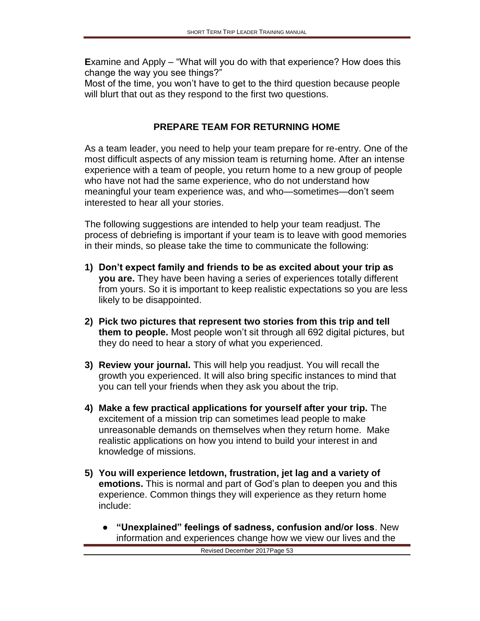**E**xamine and Apply – "What will you do with that experience? How does this change the way you see things?"

Most of the time, you won't have to get to the third question because people will blurt that out as they respond to the first two questions.

## **PREPARE TEAM FOR RETURNING HOME**

As a team leader, you need to help your team prepare for re-entry. One of the most difficult aspects of any mission team is returning home. After an intense experience with a team of people, you return home to a new group of people who have not had the same experience, who do not understand how meaningful your team experience was, and who—sometimes—don't seem interested to hear all your stories.

The following suggestions are intended to help your team readjust. The process of debriefing is important if your team is to leave with good memories in their minds, so please take the time to communicate the following:

- **1) Don't expect family and friends to be as excited about your trip as you are.** They have been having a series of experiences totally different from yours. So it is important to keep realistic expectations so you are less likely to be disappointed.
- **2) Pick two pictures that represent two stories from this trip and tell them to people.** Most people won't sit through all 692 digital pictures, but they do need to hear a story of what you experienced.
- **3) Review your journal.** This will help you readjust. You will recall the growth you experienced. It will also bring specific instances to mind that you can tell your friends when they ask you about the trip.
- **4) Make a few practical applications for yourself after your trip.** The excitement of a mission trip can sometimes lead people to make unreasonable demands on themselves when they return home. Make realistic applications on how you intend to build your interest in and knowledge of missions.
- **5) You will experience letdown, frustration, jet lag and a variety of emotions.** This is normal and part of God's plan to deepen you and this experience. Common things they will experience as they return home include:
	- **"Unexplained" feelings of sadness, confusion and/or loss**. New information and experiences change how we view our lives and the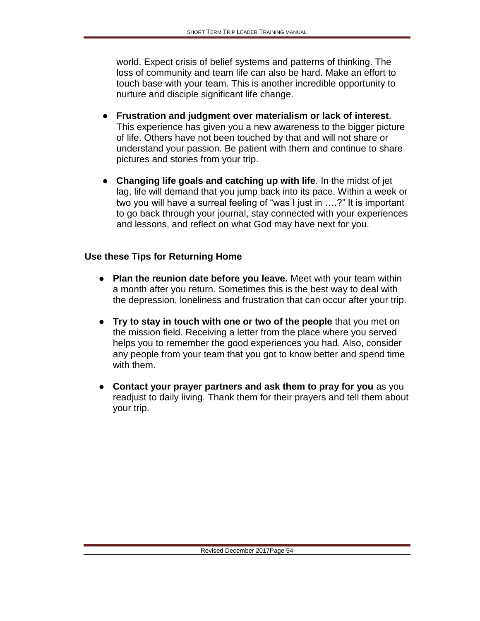world. Expect crisis of belief systems and patterns of thinking. The loss of community and team life can also be hard. Make an effort to touch base with your team. This is another incredible opportunity to nurture and disciple significant life change.

- **Frustration and judgment over materialism or lack of interest**. This experience has given you a new awareness to the bigger picture of life. Others have not been touched by that and will not share or understand your passion. Be patient with them and continue to share pictures and stories from your trip.
- **Changing life goals and catching up with life**. In the midst of jet lag, life will demand that you jump back into its pace. Within a week or two you will have a surreal feeling of "was I just in ….?" It is important to go back through your journal, stay connected with your experiences and lessons, and reflect on what God may have next for you.

### **Use these Tips for Returning Home**

- **Plan the reunion date before you leave.** Meet with your team within a month after you return. Sometimes this is the best way to deal with the depression, loneliness and frustration that can occur after your trip.
- **Try to stay in touch with one or two of the people** that you met on the mission field. Receiving a letter from the place where you served helps you to remember the good experiences you had. Also, consider any people from your team that you got to know better and spend time with them.
- **Contact your prayer partners and ask them to pray for you** as you readjust to daily living. Thank them for their prayers and tell them about your trip.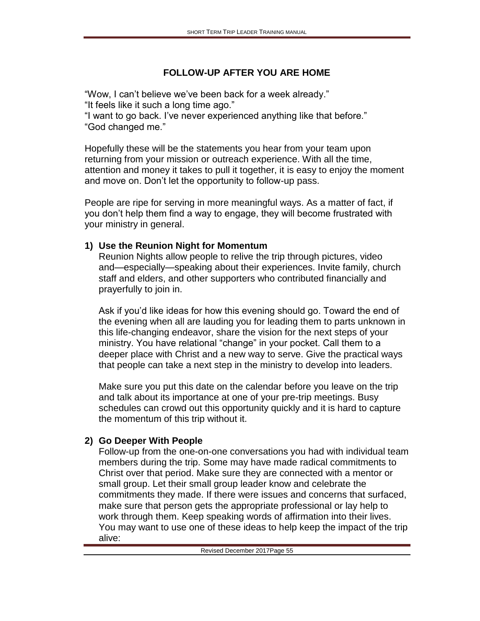# **FOLLOW-UP AFTER YOU ARE HOME**

"Wow, I can't believe we've been back for a week already." "It feels like it such a long time ago."

"I want to go back. I've never experienced anything like that before." "God changed me."

Hopefully these will be the statements you hear from your team upon returning from your mission or outreach experience. With all the time, attention and money it takes to pull it together, it is easy to enjoy the moment and move on. Don't let the opportunity to follow-up pass.

People are ripe for serving in more meaningful ways. As a matter of fact, if you don't help them find a way to engage, they will become frustrated with your ministry in general.

## **1) Use the Reunion Night for Momentum**

Reunion Nights allow people to relive the trip through pictures, video and—especially—speaking about their experiences. Invite family, church staff and elders, and other supporters who contributed financially and prayerfully to join in.

Ask if you'd like ideas for how this evening should go. Toward the end of the evening when all are lauding you for leading them to parts unknown in this life-changing endeavor, share the vision for the next steps of your ministry. You have relational "change" in your pocket. Call them to a deeper place with Christ and a new way to serve. Give the practical ways that people can take a next step in the ministry to develop into leaders.

Make sure you put this date on the calendar before you leave on the trip and talk about its importance at one of your pre-trip meetings. Busy schedules can crowd out this opportunity quickly and it is hard to capture the momentum of this trip without it.

## **2) Go Deeper With People**

Follow-up from the one-on-one conversations you had with individual team members during the trip. Some may have made radical commitments to Christ over that period. Make sure they are connected with a mentor or small group. Let their small group leader know and celebrate the commitments they made. If there were issues and concerns that surfaced, make sure that person gets the appropriate professional or lay help to work through them. Keep speaking words of affirmation into their lives. You may want to use one of these ideas to help keep the impact of the trip alive: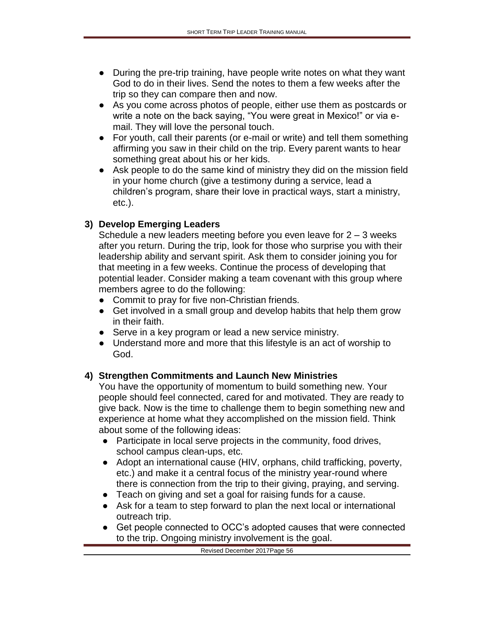- During the pre-trip training, have people write notes on what they want God to do in their lives. Send the notes to them a few weeks after the trip so they can compare then and now.
- As you come across photos of people, either use them as postcards or write a note on the back saying, "You were great in Mexico!" or via email. They will love the personal touch.
- For youth, call their parents (or e-mail or write) and tell them something affirming you saw in their child on the trip. Every parent wants to hear something great about his or her kids.
- Ask people to do the same kind of ministry they did on the mission field in your home church (give a testimony during a service, lead a children's program, share their love in practical ways, start a ministry, etc.).

## **3) Develop Emerging Leaders**

Schedule a new leaders meeting before you even leave for  $2 - 3$  weeks after you return. During the trip, look for those who surprise you with their leadership ability and servant spirit. Ask them to consider joining you for that meeting in a few weeks. Continue the process of developing that potential leader. Consider making a team covenant with this group where members agree to do the following:

- Commit to pray for five non-Christian friends.
- Get involved in a small group and develop habits that help them grow in their faith.
- Serve in a key program or lead a new service ministry.
- Understand more and more that this lifestyle is an act of worship to God.

## **4) Strengthen Commitments and Launch New Ministries**

You have the opportunity of momentum to build something new. Your people should feel connected, cared for and motivated. They are ready to give back. Now is the time to challenge them to begin something new and experience at home what they accomplished on the mission field. Think about some of the following ideas:

- Participate in local serve projects in the community, food drives, school campus clean-ups, etc.
- Adopt an international cause (HIV, orphans, child trafficking, poverty, etc.) and make it a central focus of the ministry year-round where there is connection from the trip to their giving, praying, and serving.
- Teach on giving and set a goal for raising funds for a cause.
- Ask for a team to step forward to plan the next local or international outreach trip.
- Get people connected to OCC's adopted causes that were connected to the trip. Ongoing ministry involvement is the goal.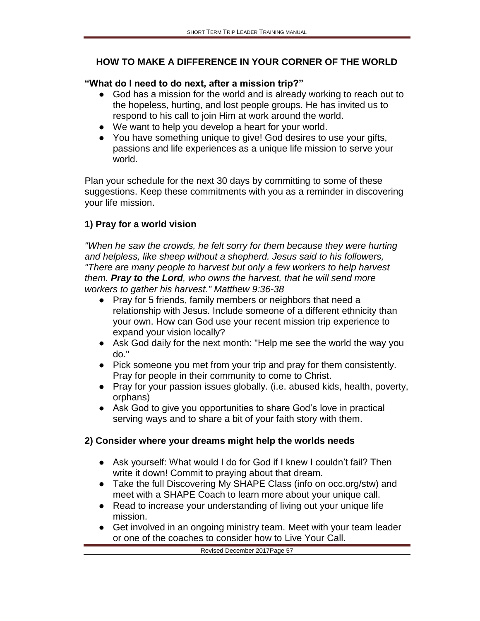## **HOW TO MAKE A DIFFERENCE IN YOUR CORNER OF THE WORLD**

#### **"What do I need to do next, after a mission trip?"**

- God has a mission for the world and is already working to reach out to the hopeless, hurting, and lost people groups. He has invited us to respond to his call to join Him at work around the world.
- We want to help you develop a heart for your world.
- You have something unique to give! God desires to use your gifts, passions and life experiences as a unique life mission to serve your world.

Plan your schedule for the next 30 days by committing to some of these suggestions. Keep these commitments with you as a reminder in discovering your life mission.

## **1) Pray for a world vision**

*"When he saw the crowds, he felt sorry for them because they were hurting and helpless, like sheep without a shepherd. Jesus said to his followers, "There are many people to harvest but only a few workers to help harvest them. Pray to the Lord, who owns the harvest, that he will send more workers to gather his harvest." Matthew 9:36-38*

- Pray for 5 friends, family members or neighbors that need a relationship with Jesus. Include someone of a different ethnicity than your own. How can God use your recent mission trip experience to expand your vision locally?
- Ask God daily for the next month: "Help me see the world the way you do."
- Pick someone you met from your trip and pray for them consistently. Pray for people in their community to come to Christ.
- Pray for your passion issues globally. (i.e. abused kids, health, poverty, orphans)
- Ask God to give you opportunities to share God's love in practical serving ways and to share a bit of your faith story with them.

## **2) Consider where your dreams might help the worlds needs**

- Ask yourself: What would I do for God if I knew I couldn't fail? Then write it down! Commit to praying about that dream.
- Take the full Discovering My SHAPE Class (info on occ.org/stw) and meet with a SHAPE Coach to learn more about your unique call.
- Read to increase your understanding of living out your unique life mission.
- Get involved in an ongoing ministry team. Meet with your team leader or one of the coaches to consider how to Live Your Call.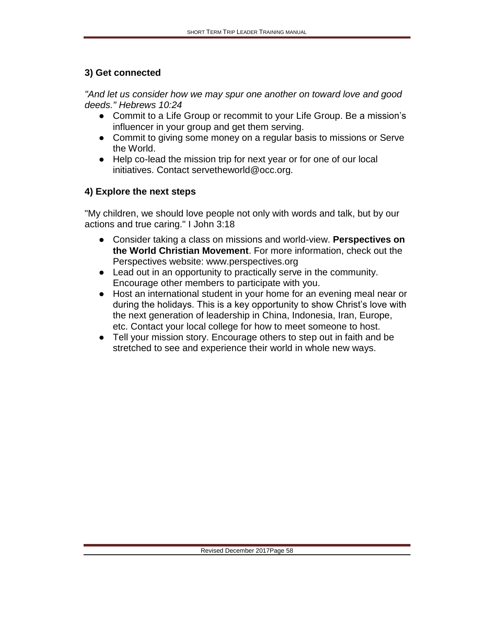#### **3) Get connected**

*"And let us consider how we may spur one another on toward love and good deeds." Hebrews 10:24*

- Commit to a Life Group or recommit to your Life Group. Be a mission's influencer in your group and get them serving.
- Commit to giving some money on a regular basis to missions or Serve the World.
- Help co-lead the mission trip for next year or for one of our local initiatives. Contact servetheworld@occ.org.

### **4) Explore the next steps**

"My children, we should love people not only with words and talk, but by our actions and true caring." I John 3:18

- Consider taking a class on missions and world-view. **Perspectives on the World Christian Movement**. For more information, check out the Perspectives website: www.perspectives.org
- Lead out in an opportunity to practically serve in the community. Encourage other members to participate with you.
- Host an international student in your home for an evening meal near or during the holidays. This is a key opportunity to show Christ's love with the next generation of leadership in China, Indonesia, Iran, Europe, etc. Contact your local college for how to meet someone to host.
- Tell your mission story. Encourage others to step out in faith and be stretched to see and experience their world in whole new ways.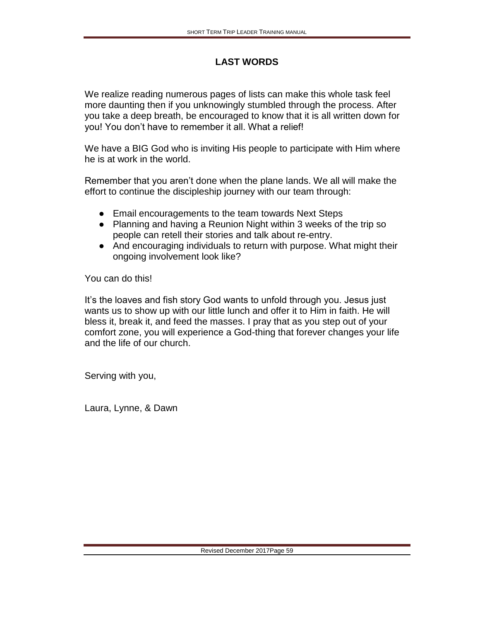# **LAST WORDS**

We realize reading numerous pages of lists can make this whole task feel more daunting then if you unknowingly stumbled through the process. After you take a deep breath, be encouraged to know that it is all written down for you! You don't have to remember it all. What a relief!

We have a BIG God who is inviting His people to participate with Him where he is at work in the world.

Remember that you aren't done when the plane lands. We all will make the effort to continue the discipleship journey with our team through:

- Email encouragements to the team towards Next Steps
- Planning and having a Reunion Night within 3 weeks of the trip so people can retell their stories and talk about re-entry.
- And encouraging individuals to return with purpose. What might their ongoing involvement look like?

You can do this!

It's the loaves and fish story God wants to unfold through you. Jesus just wants us to show up with our little lunch and offer it to Him in faith. He will bless it, break it, and feed the masses. I pray that as you step out of your comfort zone, you will experience a God-thing that forever changes your life and the life of our church.

Serving with you,

Laura, Lynne, & Dawn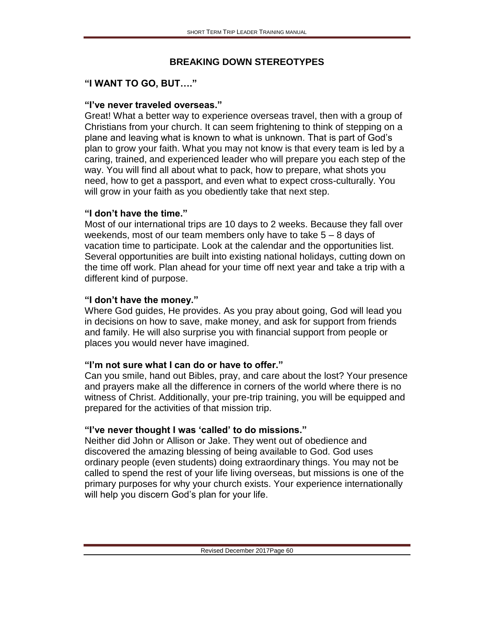### **BREAKING DOWN STEREOTYPES**

## **"I WANT TO GO, BUT…."**

#### **"I've never traveled overseas."**

Great! What a better way to experience overseas travel, then with a group of Christians from your church. It can seem frightening to think of stepping on a plane and leaving what is known to what is unknown. That is part of God's plan to grow your faith. What you may not know is that every team is led by a caring, trained, and experienced leader who will prepare you each step of the way. You will find all about what to pack, how to prepare, what shots you need, how to get a passport, and even what to expect cross-culturally. You will grow in your faith as you obediently take that next step.

### **"I don't have the time."**

Most of our international trips are 10 days to 2 weeks. Because they fall over weekends, most of our team members only have to take  $5 - 8$  days of vacation time to participate. Look at the calendar and the opportunities list. Several opportunities are built into existing national holidays, cutting down on the time off work. Plan ahead for your time off next year and take a trip with a different kind of purpose.

## **"I don't have the money."**

Where God guides, He provides. As you pray about going, God will lead you in decisions on how to save, make money, and ask for support from friends and family. He will also surprise you with financial support from people or places you would never have imagined.

## **"I'm not sure what I can do or have to offer."**

Can you smile, hand out Bibles, pray, and care about the lost? Your presence and prayers make all the difference in corners of the world where there is no witness of Christ. Additionally, your pre-trip training, you will be equipped and prepared for the activities of that mission trip.

## **"I've never thought I was 'called' to do missions."**

Neither did John or Allison or Jake. They went out of obedience and discovered the amazing blessing of being available to God. God uses ordinary people (even students) doing extraordinary things. You may not be called to spend the rest of your life living overseas, but missions is one of the primary purposes for why your church exists. Your experience internationally will help you discern God's plan for your life.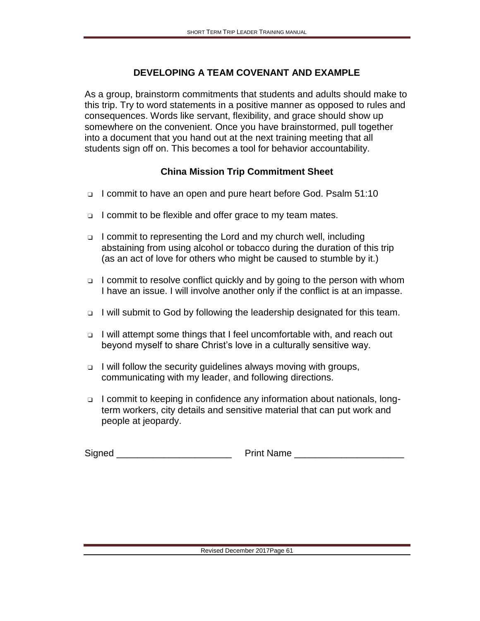#### **DEVELOPING A TEAM COVENANT AND EXAMPLE**

As a group, brainstorm commitments that students and adults should make to this trip. Try to word statements in a positive manner as opposed to rules and consequences. Words like servant, flexibility, and grace should show up somewhere on the convenient. Once you have brainstormed, pull together into a document that you hand out at the next training meeting that all students sign off on. This becomes a tool for behavior accountability.

#### **China Mission Trip Commitment Sheet**

- ❑ I commit to have an open and pure heart before God. Psalm 51:10
- ❑ I commit to be flexible and offer grace to my team mates.
- ❑ I commit to representing the Lord and my church well, including abstaining from using alcohol or tobacco during the duration of this trip (as an act of love for others who might be caused to stumble by it.)
- ❑ I commit to resolve conflict quickly and by going to the person with whom I have an issue. I will involve another only if the conflict is at an impasse.
- ❑ I will submit to God by following the leadership designated for this team.
- ❑ I will attempt some things that I feel uncomfortable with, and reach out beyond myself to share Christ's love in a culturally sensitive way.
- ❑ I will follow the security guidelines always moving with groups, communicating with my leader, and following directions.
- ❑ I commit to keeping in confidence any information about nationals, longterm workers, city details and sensitive material that can put work and people at jeopardy.

Signed \_\_\_\_\_\_\_\_\_\_\_\_\_\_\_\_\_\_\_\_\_\_ Print Name \_\_\_\_\_\_\_\_\_\_\_\_\_\_\_\_\_\_\_\_\_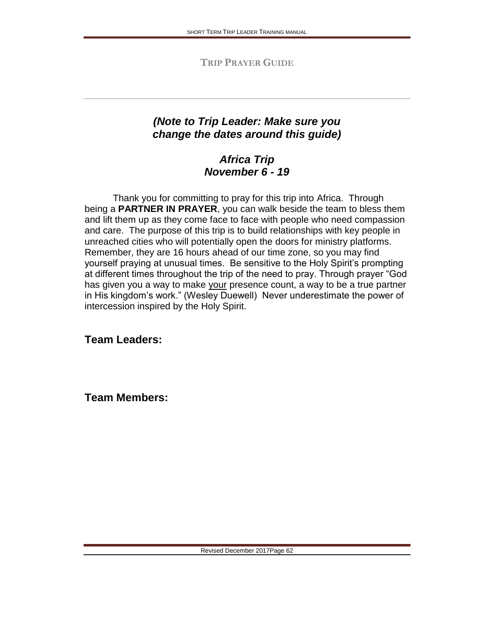**TRIP PRAYER GUIDE**

# *(Note to Trip Leader: Make sure you change the dates around this guide)*

# *Africa Trip November 6 - 19*

Thank you for committing to pray for this trip into Africa. Through being a **PARTNER IN PRAYER**, you can walk beside the team to bless them and lift them up as they come face to face with people who need compassion and care. The purpose of this trip is to build relationships with key people in unreached cities who will potentially open the doors for ministry platforms. Remember, they are 16 hours ahead of our time zone, so you may find yourself praying at unusual times. Be sensitive to the Holy Spirit's prompting at different times throughout the trip of the need to pray. Through prayer "God has given you a way to make your presence count, a way to be a true partner in His kingdom's work." (Wesley Duewell) Never underestimate the power of intercession inspired by the Holy Spirit.

**Team Leaders:**

**Team Members:**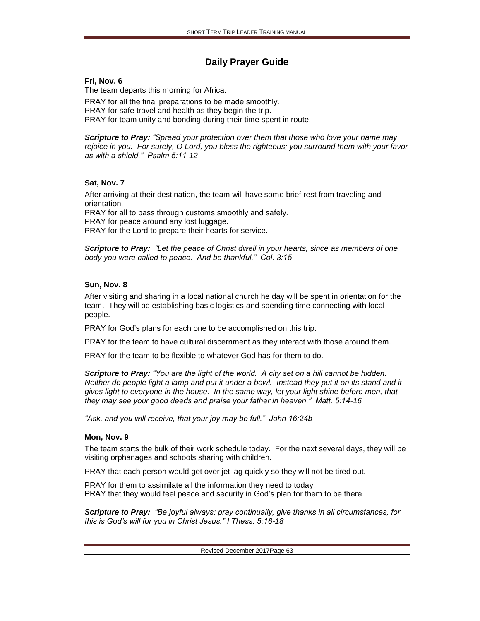#### **Daily Prayer Guide**

#### **Fri, Nov. 6**

The team departs this morning for Africa.

PRAY for all the final preparations to be made smoothly. PRAY for safe travel and health as they begin the trip. PRAY for team unity and bonding during their time spent in route.

*Scripture to Pray: "Spread your protection over them that those who love your name may rejoice in you. For surely, O Lord, you bless the righteous; you surround them with your favor as with a shield." Psalm 5:11-12* 

#### **Sat, Nov. 7**

After arriving at their destination, the team will have some brief rest from traveling and orientation. PRAY for all to pass through customs smoothly and safely. PRAY for peace around any lost luggage. PRAY for the Lord to prepare their hearts for service.

*Scripture to Pray: "Let the peace of Christ dwell in your hearts, since as members of one body you were called to peace. And be thankful." Col. 3:15*

#### **Sun, Nov. 8**

After visiting and sharing in a local national church he day will be spent in orientation for the team. They will be establishing basic logistics and spending time connecting with local people.

PRAY for God's plans for each one to be accomplished on this trip.

PRAY for the team to have cultural discernment as they interact with those around them.

PRAY for the team to be flexible to whatever God has for them to do.

*Scripture to Pray: "You are the light of the world. A city set on a hill cannot be hidden. Neither do people light a lamp and put it under a bowl. Instead they put it on its stand and it gives light to everyone in the house. In the same way, let your light shine before men, that they may see your good deeds and praise your father in heaven." Matt. 5:14-16*

*"Ask, and you will receive, that your joy may be full." John 16:24b*

#### **Mon, Nov. 9**

The team starts the bulk of their work schedule today. For the next several days, they will be visiting orphanages and schools sharing with children.

PRAY that each person would get over jet lag quickly so they will not be tired out.

PRAY for them to assimilate all the information they need to today. PRAY that they would feel peace and security in God's plan for them to be there.

*Scripture to Pray: "Be joyful always; pray continually, give thanks in all circumstances, for this is God's will for you in Christ Jesus." I Thess. 5:16-18*

Revised December 2017Page 63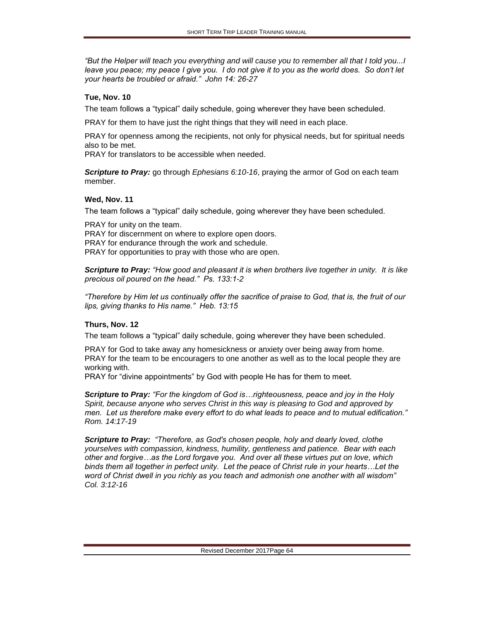*"But the Helper will teach you everything and will cause you to remember all that I told you...I leave you peace; my peace I give you. I do not give it to you as the world does. So don't let your hearts be troubled or afraid." John 14: 26-27*

#### **Tue, Nov. 10**

The team follows a "typical" daily schedule, going wherever they have been scheduled.

PRAY for them to have just the right things that they will need in each place.

PRAY for openness among the recipients, not only for physical needs, but for spiritual needs also to be met.

PRAY for translators to be accessible when needed.

*Scripture to Pray:* go through *Ephesians 6:10-16*, praying the armor of God on each team member.

#### **Wed, Nov. 11**

The team follows a "typical" daily schedule, going wherever they have been scheduled.

PRAY for unity on the team. PRAY for discernment on where to explore open doors. PRAY for endurance through the work and schedule. PRAY for opportunities to pray with those who are open.

*Scripture to Pray: "How good and pleasant it is when brothers live together in unity. It is like precious oil poured on the head." Ps. 133:1-2*

*"Therefore by Him let us continually offer the sacrifice of praise to God, that is, the fruit of our lips, giving thanks to His name." Heb. 13:15*

#### **Thurs, Nov. 12**

The team follows a "typical" daily schedule, going wherever they have been scheduled.

PRAY for God to take away any homesickness or anxiety over being away from home. PRAY for the team to be encouragers to one another as well as to the local people they are working with.

PRAY for "divine appointments" by God with people He has for them to meet.

*Scripture to Pray: "For the kingdom of God is…righteousness, peace and joy in the Holy Spirit, because anyone who serves Christ in this way is pleasing to God and approved by men. Let us therefore make every effort to do what leads to peace and to mutual edification." Rom. 14:17-19* 

*Scripture to Pray: "Therefore, as God's chosen people, holy and dearly loved, clothe yourselves with compassion, kindness, humility, gentleness and patience. Bear with each other and forgive…as the Lord forgave you. And over all these virtues put on love, which binds them all together in perfect unity. Let the peace of Christ rule in your hearts…Let the word of Christ dwell in you richly as you teach and admonish one another with all wisdom" Col. 3:12-16*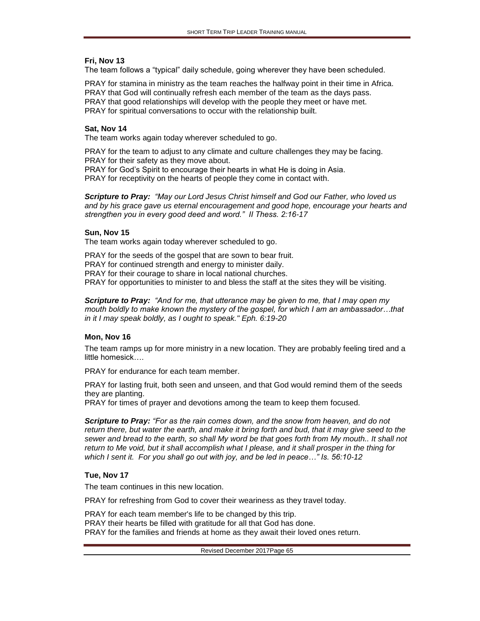#### **Fri, Nov 13**

The team follows a "typical" daily schedule, going wherever they have been scheduled.

PRAY for stamina in ministry as the team reaches the halfway point in their time in Africa. PRAY that God will continually refresh each member of the team as the days pass. PRAY that good relationships will develop with the people they meet or have met. PRAY for spiritual conversations to occur with the relationship built.

#### **Sat, Nov 14**

The team works again today wherever scheduled to go.

PRAY for the team to adjust to any climate and culture challenges they may be facing. PRAY for their safety as they move about. PRAY for God's Spirit to encourage their hearts in what He is doing in Asia. PRAY for receptivity on the hearts of people they come in contact with.

*Scripture to Pray: "May our Lord Jesus Christ himself and God our Father, who loved us and by his grace gave us eternal encouragement and good hope, encourage your hearts and strengthen you in every good deed and word." II Thess. 2:16-17*

#### **Sun, Nov 15**

The team works again today wherever scheduled to go.

PRAY for the seeds of the gospel that are sown to bear fruit. PRAY for continued strength and energy to minister daily. PRAY for their courage to share in local national churches. PRAY for opportunities to minister to and bless the staff at the sites they will be visiting.

*Scripture to Pray: "And for me, that utterance may be given to me, that I may open my mouth boldly to make known the mystery of the gospel, for which I am an ambassador…that in it I may speak boldly, as I ought to speak." Eph. 6:19-20*

#### **Mon, Nov 16**

The team ramps up for more ministry in a new location. They are probably feeling tired and a little homesick….

PRAY for endurance for each team member.

PRAY for lasting fruit, both seen and unseen, and that God would remind them of the seeds they are planting.

PRAY for times of prayer and devotions among the team to keep them focused.

*Scripture to Pray: "For as the rain comes down, and the snow from heaven, and do not return there, but water the earth, and make it bring forth and bud, that it may give seed to the*  sewer and bread to the earth, so shall My word be that goes forth from My mouth.. It shall not *return to Me void, but it shall accomplish what I please, and it shall prosper in the thing for which I sent it. For you shall go out with joy, and be led in peace…" Is. 56:10-12*

#### **Tue, Nov 17**

The team continues in this new location.

PRAY for refreshing from God to cover their weariness as they travel today.

PRAY for each team member's life to be changed by this trip. PRAY their hearts be filled with gratitude for all that God has done. PRAY for the families and friends at home as they await their loved ones return.

Revised December 2017Page 65